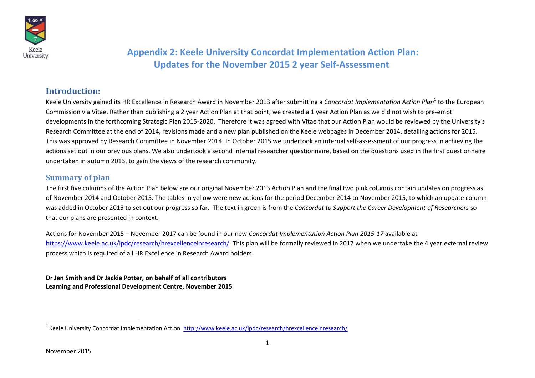

### **Appendix 2: Keele University Concordat Implementation Action Plan: Updates for the November 2015 2 year Self-Assessment**

#### **Introduction:**

Keele University gained its HR Excellence in Research Award in November 2013 after submitting a *Concordat Implementation Action Plan*<sup>1</sup> to the European Commission via Vitae. Rather than publishing a 2 year Action Plan at that point, we created a 1 year Action Plan as we did not wish to pre-empt developments in the forthcoming Strategic Plan 2015-2020. Therefore it was agreed with Vitae that our Action Plan would be reviewed by the University's Research Committee at the end of 2014, revisions made and a new plan published on the Keele webpages in December 2014, detailing actions for 2015. This was approved by Research Committee in November 2014. In October 2015 we undertook an internal self-assessment of our progress in achieving the actions set out in our previous plans. We also undertook a second internal researcher questionnaire, based on the questions used in the first questionnaire undertaken in autumn 2013, to gain the views of the research community.

#### **Summary of plan**

The first five columns of the Action Plan below are our original November 2013 Action Plan and the final two pink columns contain updates on progress as of November 2014 and October 2015. The tables in yellow were new actions for the period December 2014 to November 2015, to which an update column was added in October 2015 to set out our progress so far. The text in green is from the *Concordat to Support the Career Development of Researchers* so that our plans are presented in context.

Actions for November 2015 – November 2017 can be found in our new *Concordat Implementation Action Plan 2015-17* available at [https://www.keele.ac.uk/lpdc/research/hrexcellenceinresearch/.](https://www.keele.ac.uk/lpdc/research/hrexcellenceinresearch/) This plan will be formally reviewed in 2017 when we undertake the 4 year external review process which is required of all HR Excellence in Research Award holders.

**Dr Jen Smith and Dr Jackie Potter, on behalf of all contributors Learning and Professional Development Centre, November 2015**

 $\overline{\phantom{a}}$ <sup>1</sup> Keele University Concordat Implementation Action<http://www.keele.ac.uk/lpdc/research/hrexcellenceinresearch/>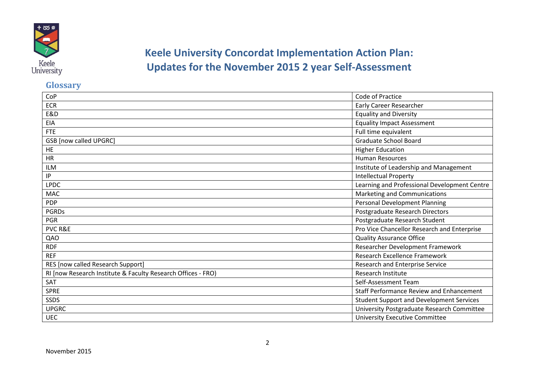

# **Keele University Concordat Implementation Action Plan: Updates for the November 2015 2 year Self-Assessment**

#### **Glossary**

| CoP                                                          | Code of Practice                                |
|--------------------------------------------------------------|-------------------------------------------------|
| <b>ECR</b>                                                   | <b>Early Career Researcher</b>                  |
| E&D                                                          | <b>Equality and Diversity</b>                   |
| EIA                                                          | <b>Equality Impact Assessment</b>               |
| <b>FTE</b>                                                   | Full time equivalent                            |
| <b>GSB</b> [now called UPGRC]                                | <b>Graduate School Board</b>                    |
| <b>HE</b>                                                    | <b>Higher Education</b>                         |
| <b>HR</b>                                                    | <b>Human Resources</b>                          |
| <b>ILM</b>                                                   | Institute of Leadership and Management          |
| IP                                                           | <b>Intellectual Property</b>                    |
| <b>LPDC</b>                                                  | Learning and Professional Development Centre    |
| <b>MAC</b>                                                   | Marketing and Communications                    |
| <b>PDP</b>                                                   | Personal Development Planning                   |
| <b>PGRDs</b>                                                 | Postgraduate Research Directors                 |
| <b>PGR</b>                                                   | Postgraduate Research Student                   |
| PVC R&E                                                      | Pro Vice Chancellor Research and Enterprise     |
| QAO                                                          | <b>Quality Assurance Office</b>                 |
| <b>RDF</b>                                                   | Researcher Development Framework                |
| <b>REF</b>                                                   | Research Excellence Framework                   |
| RES [now called Research Support]                            | Research and Enterprise Service                 |
| RI [now Research Institute & Faculty Research Offices - FRO) | Research Institute                              |
| SAT                                                          | Self-Assessment Team                            |
| <b>SPRE</b>                                                  | Staff Performance Review and Enhancement        |
| <b>SSDS</b>                                                  | <b>Student Support and Development Services</b> |
| <b>UPGRC</b>                                                 | University Postgraduate Research Committee      |
| <b>UEC</b>                                                   | <b>University Executive Committee</b>           |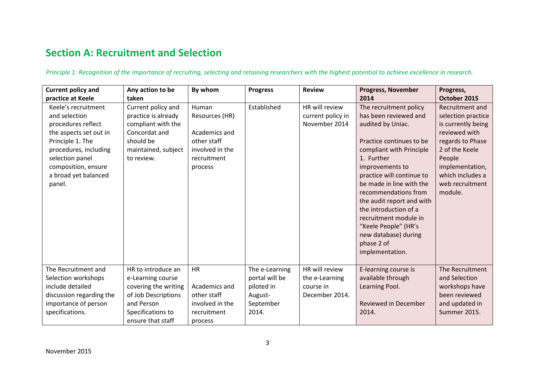# **Section A: Recruitment and Selection**

*Principle 1: Recognition of the importance of recruiting, selecting and retaining researchers with the highest potential to achieve excellence in research.*

| <b>Current policy and</b>                                                                                                                                                                                     | Any action to be                                                                                                                               | By whom                                                                                              | <b>Progress</b>                                                                 | <b>Review</b>                                                   | <b>Progress, November</b>                                                                                                                                                                                                                                                                                                                                                                                      | Progress,                                                                                                                                                                                         |
|---------------------------------------------------------------------------------------------------------------------------------------------------------------------------------------------------------------|------------------------------------------------------------------------------------------------------------------------------------------------|------------------------------------------------------------------------------------------------------|---------------------------------------------------------------------------------|-----------------------------------------------------------------|----------------------------------------------------------------------------------------------------------------------------------------------------------------------------------------------------------------------------------------------------------------------------------------------------------------------------------------------------------------------------------------------------------------|---------------------------------------------------------------------------------------------------------------------------------------------------------------------------------------------------|
| practice at Keele                                                                                                                                                                                             | taken                                                                                                                                          |                                                                                                      |                                                                                 |                                                                 | 2014                                                                                                                                                                                                                                                                                                                                                                                                           | October 2015                                                                                                                                                                                      |
| Keele's recruitment<br>and selection<br>procedures reflect<br>the aspects set out in<br>Principle 1. The<br>procedures, including<br>selection panel<br>composition, ensure<br>a broad yet balanced<br>panel. | Current policy and<br>practice is already<br>compliant with the<br>Concordat and<br>should be<br>maintained, subject<br>to review.             | Human<br>Resources (HR)<br>Academics and<br>other staff<br>involved in the<br>recruitment<br>process | Established                                                                     | HR will review<br>current policy in<br>November 2014            | The recruitment policy<br>has been reviewed and<br>audited by Uniac.<br>Practice continues to be<br>compliant with Principle<br>1. Further<br>improvements to<br>practice will continue to<br>be made in line with the<br>recommendations from<br>the audit report and with<br>the introduction of a<br>recruitment module in<br>"Keele People" (HR's<br>new database) during<br>phase 2 of<br>implementation. | Recruitment and<br>selection practice<br>is currently being<br>reviewed with<br>regards to Phase<br>2 of the Keele<br>People<br>implementation,<br>which includes a<br>web recruitment<br>module. |
| The Recruitment and<br>Selection workshops<br>include detailed<br>discussion regarding the<br>importance of person<br>specifications.                                                                         | HR to introduce an<br>e-Learning course<br>covering the writing<br>of Job Descriptions<br>and Person<br>Specifications to<br>ensure that staff | <b>HR</b><br>Academics and<br>other staff<br>involved in the<br>recruitment<br>process               | The e-Learning<br>portal will be<br>piloted in<br>August-<br>September<br>2014. | HR will review<br>the e-Learning<br>course in<br>December 2014. | E-learning course is<br>available through<br>Learning Pool.<br><b>Reviewed in December</b><br>2014.                                                                                                                                                                                                                                                                                                            | The Recruitment<br>and Selection<br>workshops have<br>been reviewed<br>and updated in<br>Summer 2015.                                                                                             |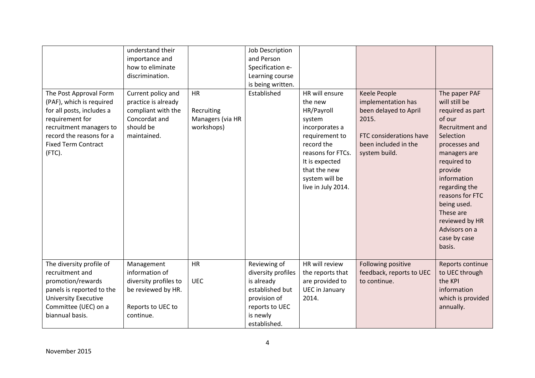| The Post Approval Form<br>(PAF), which is required<br>for all posts, includes a<br>requirement for<br>recruitment managers to<br>record the reasons for a<br><b>Fixed Term Contract</b><br>(FTC). | understand their<br>importance and<br>how to eliminate<br>discrimination.<br>Current policy and<br>practice is already<br>compliant with the<br>Concordat and<br>should be<br>maintained. | HR<br>Recruiting<br>Managers (via HR<br>workshops) | <b>Job Description</b><br>and Person<br>Specification e-<br>Learning course<br>is being written.<br>Established                   | HR will ensure<br>the new<br>HR/Payroll<br>system<br>incorporates a<br>requirement to<br>record the<br>reasons for FTCs.<br>It is expected<br>that the new<br>system will be<br>live in July 2014. | <b>Keele People</b><br>implementation has<br>been delayed to April<br>2015.<br>FTC considerations have<br>been included in the<br>system build. | The paper PAF<br>will still be<br>required as part<br>of our<br>Recruitment and<br>Selection<br>processes and<br>managers are<br>required to<br>provide<br>information<br>regarding the<br>reasons for FTC<br>being used.<br>These are<br>reviewed by HR<br>Advisors on a<br>case by case<br>basis. |
|---------------------------------------------------------------------------------------------------------------------------------------------------------------------------------------------------|-------------------------------------------------------------------------------------------------------------------------------------------------------------------------------------------|----------------------------------------------------|-----------------------------------------------------------------------------------------------------------------------------------|----------------------------------------------------------------------------------------------------------------------------------------------------------------------------------------------------|-------------------------------------------------------------------------------------------------------------------------------------------------|-----------------------------------------------------------------------------------------------------------------------------------------------------------------------------------------------------------------------------------------------------------------------------------------------------|
| The diversity profile of<br>recruitment and<br>promotion/rewards<br>panels is reported to the<br><b>University Executive</b><br>Committee (UEC) on a<br>biannual basis.                           | Management<br>information of<br>diversity profiles to<br>be reviewed by HR.<br>Reports to UEC to<br>continue.                                                                             | HR<br><b>UEC</b>                                   | Reviewing of<br>diversity profiles<br>is already<br>established but<br>provision of<br>reports to UEC<br>is newly<br>established. | HR will review<br>the reports that<br>are provided to<br><b>UEC</b> in January<br>2014.                                                                                                            | Following positive<br>feedback, reports to UEC<br>to continue.                                                                                  | Reports continue<br>to UEC through<br>the KPI<br>information<br>which is provided<br>annually.                                                                                                                                                                                                      |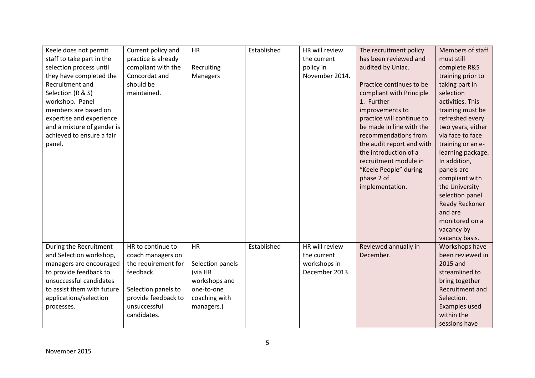| Keele does not permit<br>staff to take part in the<br>selection process until<br>they have completed the<br>Recruitment and<br>Selection (R & S)<br>workshop. Panel<br>members are based on<br>expertise and experience<br>and a mixture of gender is<br>achieved to ensure a fair<br>panel. | Current policy and<br>practice is already<br>compliant with the<br>Concordat and<br>should be<br>maintained.                                            | HR<br>Recruiting<br>Managers                                                                    | Established | HR will review<br>the current<br>policy in<br>November 2014.    | The recruitment policy<br>has been reviewed and<br>audited by Uniac.<br>Practice continues to be<br>compliant with Principle<br>1. Further<br>improvements to<br>practice will continue to<br>be made in line with the<br>recommendations from<br>the audit report and with<br>the introduction of a<br>recruitment module in<br>"Keele People" during<br>phase 2 of<br>implementation. | Members of staff<br>must still<br>complete R&S<br>training prior to<br>taking part in<br>selection<br>activities. This<br>training must be<br>refreshed every<br>two years, either<br>via face to face<br>training or an e-<br>learning package.<br>In addition,<br>panels are<br>compliant with<br>the University<br>selection panel<br><b>Ready Reckoner</b> |
|----------------------------------------------------------------------------------------------------------------------------------------------------------------------------------------------------------------------------------------------------------------------------------------------|---------------------------------------------------------------------------------------------------------------------------------------------------------|-------------------------------------------------------------------------------------------------|-------------|-----------------------------------------------------------------|-----------------------------------------------------------------------------------------------------------------------------------------------------------------------------------------------------------------------------------------------------------------------------------------------------------------------------------------------------------------------------------------|----------------------------------------------------------------------------------------------------------------------------------------------------------------------------------------------------------------------------------------------------------------------------------------------------------------------------------------------------------------|
|                                                                                                                                                                                                                                                                                              |                                                                                                                                                         |                                                                                                 |             |                                                                 |                                                                                                                                                                                                                                                                                                                                                                                         | and are<br>monitored on a<br>vacancy by                                                                                                                                                                                                                                                                                                                        |
| During the Recruitment<br>and Selection workshop,<br>managers are encouraged<br>to provide feedback to<br>unsuccessful candidates<br>to assist them with future<br>applications/selection<br>processes.                                                                                      | HR to continue to<br>coach managers on<br>the requirement for<br>feedback.<br>Selection panels to<br>provide feedback to<br>unsuccessful<br>candidates. | HR<br>Selection panels<br>(via HR<br>workshops and<br>one-to-one<br>coaching with<br>managers.) | Established | HR will review<br>the current<br>workshops in<br>December 2013. | Reviewed annually in<br>December.                                                                                                                                                                                                                                                                                                                                                       | vacancy basis.<br>Workshops have<br>been reviewed in<br>2015 and<br>streamlined to<br>bring together<br>Recruitment and<br>Selection.<br>Examples used<br>within the<br>sessions have                                                                                                                                                                          |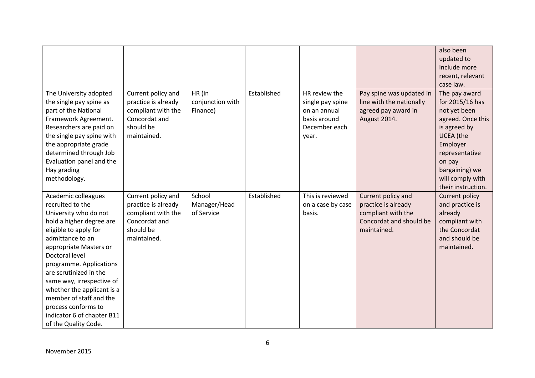|                                                                                                                                                                                                                                                                                                                                                                                                               |                                                                                                              |                                        |             |                                                                                             |                                                                                                           | also been                                                                                                                                                           |
|---------------------------------------------------------------------------------------------------------------------------------------------------------------------------------------------------------------------------------------------------------------------------------------------------------------------------------------------------------------------------------------------------------------|--------------------------------------------------------------------------------------------------------------|----------------------------------------|-------------|---------------------------------------------------------------------------------------------|-----------------------------------------------------------------------------------------------------------|---------------------------------------------------------------------------------------------------------------------------------------------------------------------|
|                                                                                                                                                                                                                                                                                                                                                                                                               |                                                                                                              |                                        |             |                                                                                             |                                                                                                           | updated to                                                                                                                                                          |
|                                                                                                                                                                                                                                                                                                                                                                                                               |                                                                                                              |                                        |             |                                                                                             |                                                                                                           | include more                                                                                                                                                        |
|                                                                                                                                                                                                                                                                                                                                                                                                               |                                                                                                              |                                        |             |                                                                                             |                                                                                                           | recent, relevant                                                                                                                                                    |
|                                                                                                                                                                                                                                                                                                                                                                                                               |                                                                                                              |                                        |             |                                                                                             |                                                                                                           | case law.                                                                                                                                                           |
| The University adopted<br>the single pay spine as<br>part of the National<br>Framework Agreement.<br>Researchers are paid on<br>the single pay spine with<br>the appropriate grade<br>determined through Job<br>Evaluation panel and the<br>Hay grading                                                                                                                                                       | Current policy and<br>practice is already<br>compliant with the<br>Concordat and<br>should be<br>maintained. | HR (in<br>conjunction with<br>Finance) | Established | HR review the<br>single pay spine<br>on an annual<br>basis around<br>December each<br>year. | Pay spine was updated in<br>line with the nationally<br>agreed pay award in<br>August 2014.               | The pay award<br>for 2015/16 has<br>not yet been<br>agreed. Once this<br>is agreed by<br><b>UCEA</b> (the<br>Employer<br>representative<br>on pay<br>bargaining) we |
| methodology.                                                                                                                                                                                                                                                                                                                                                                                                  |                                                                                                              |                                        |             |                                                                                             |                                                                                                           | will comply with<br>their instruction.                                                                                                                              |
| Academic colleagues<br>recruited to the<br>University who do not<br>hold a higher degree are<br>eligible to apply for<br>admittance to an<br>appropriate Masters or<br>Doctoral level<br>programme. Applications<br>are scrutinized in the<br>same way, irrespective of<br>whether the applicant is a<br>member of staff and the<br>process conforms to<br>indicator 6 of chapter B11<br>of the Quality Code. | Current policy and<br>practice is already<br>compliant with the<br>Concordat and<br>should be<br>maintained. | School<br>Manager/Head<br>of Service   | Established | This is reviewed<br>on a case by case<br>basis.                                             | Current policy and<br>practice is already<br>compliant with the<br>Concordat and should be<br>maintained. | <b>Current policy</b><br>and practice is<br>already<br>compliant with<br>the Concordat<br>and should be<br>maintained.                                              |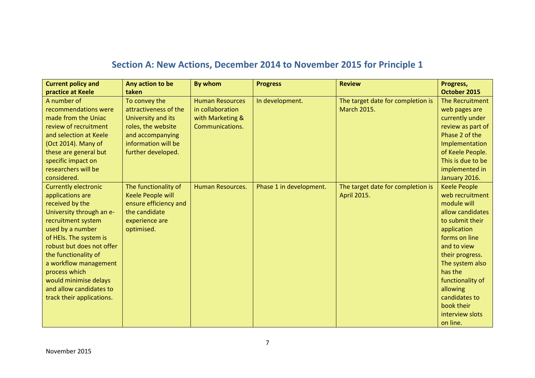# **Section A: New Actions, December 2014 to November 2015 for Principle 1**

| <b>Current policy and</b>   | Any action to be      | By whom                 | <b>Progress</b>         | <b>Review</b>                     | Progress,           |
|-----------------------------|-----------------------|-------------------------|-------------------------|-----------------------------------|---------------------|
| practice at Keele           | taken                 |                         |                         |                                   | October 2015        |
| A number of                 | To convey the         | <b>Human Resources</b>  | In development.         | The target date for completion is | The Recruitment     |
| recommendations were        | attractiveness of the | in collaboration        |                         | <b>March 2015.</b>                | web pages are       |
| made from the Uniac         | University and its    | with Marketing &        |                         |                                   | currently under     |
| review of recruitment       | roles, the website    | Communications.         |                         |                                   | review as part of   |
| and selection at Keele      | and accompanying      |                         |                         |                                   | Phase 2 of the      |
| (Oct 2014). Many of         | information will be   |                         |                         |                                   | Implementation      |
| these are general but       | further developed.    |                         |                         |                                   | of Keele People.    |
| specific impact on          |                       |                         |                         |                                   | This is due to be   |
| researchers will be         |                       |                         |                         |                                   | implemented in      |
| considered.                 |                       |                         |                         |                                   | January 2016.       |
| <b>Currently electronic</b> | The functionality of  | <b>Human Resources.</b> | Phase 1 in development. | The target date for completion is | <b>Keele People</b> |
| applications are            | Keele People will     |                         |                         | April 2015.                       | web recruitment     |
| received by the             | ensure efficiency and |                         |                         |                                   | module will         |
| University through an e-    | the candidate         |                         |                         |                                   | allow candidates    |
| recruitment system          | experience are        |                         |                         |                                   | to submit their     |
| used by a number            | optimised.            |                         |                         |                                   | application         |
| of HEIs. The system is      |                       |                         |                         |                                   | forms on line       |
| robust but does not offer   |                       |                         |                         |                                   | and to view         |
| the functionality of        |                       |                         |                         |                                   | their progress.     |
| a workflow management       |                       |                         |                         |                                   | The system also     |
| process which               |                       |                         |                         |                                   | has the             |
| would minimise delays       |                       |                         |                         |                                   | functionality of    |
| and allow candidates to     |                       |                         |                         |                                   | allowing            |
| track their applications.   |                       |                         |                         |                                   | candidates to       |
|                             |                       |                         |                         |                                   | book their          |
|                             |                       |                         |                         |                                   | interview slots     |
|                             |                       |                         |                         |                                   | on line.            |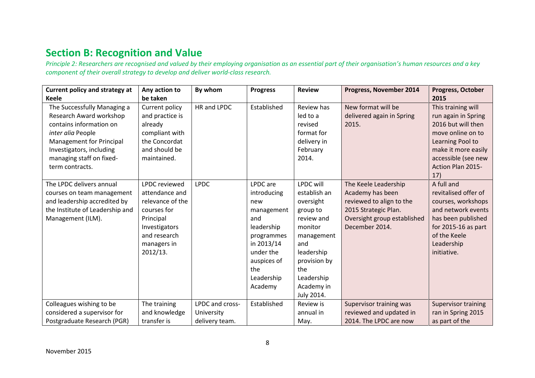### **Section B: Recognition and Value**

*Principle 2: Researchers are recognised and valued by their employing organisation as an essential part of their organisation's human resources and a key component of their overall strategy to develop and deliver world-class research.*

| Current policy and strategy at  | Any action to        | By whom         | <b>Progress</b> | <b>Review</b>    | Progress, November 2014     | Progress, October     |
|---------------------------------|----------------------|-----------------|-----------------|------------------|-----------------------------|-----------------------|
| <b>Keele</b>                    | be taken             |                 |                 |                  |                             | 2015                  |
| The Successfully Managing a     | Current policy       | HR and LPDC     | Established     | Review has       | New format will be          | This training will    |
| Research Award workshop         | and practice is      |                 |                 | led to a         | delivered again in Spring   | run again in Spring   |
| contains information on         | already              |                 |                 | revised          | 2015.                       | 2016 but will then    |
| inter alia People               | compliant with       |                 |                 | format for       |                             | move online on to     |
| <b>Management for Principal</b> | the Concordat        |                 |                 | delivery in      |                             | Learning Pool to      |
| Investigators, including        | and should be        |                 |                 | February         |                             | make it more easily   |
| managing staff on fixed-        | maintained.          |                 |                 | 2014.            |                             | accessible (see new   |
| term contracts.                 |                      |                 |                 |                  |                             | Action Plan 2015-     |
|                                 |                      |                 |                 |                  |                             | 17)                   |
| The LPDC delivers annual        | <b>LPDC</b> reviewed | <b>LPDC</b>     | LPDC are        | <b>LPDC will</b> | The Keele Leadership        | A full and            |
| courses on team management      | attendance and       |                 | introducing     | establish an     | Academy has been            | revitalised offer of  |
| and leadership accredited by    | relevance of the     |                 | new             | oversight        | reviewed to align to the    | courses, workshops    |
| the Institute of Leadership and | courses for          |                 | management      | group to         | 2015 Strategic Plan.        | and network events    |
| Management (ILM).               | Principal            |                 | and             | review and       | Oversight group established | has been published    |
|                                 | Investigators        |                 | leadership      | monitor          | December 2014.              | for $2015-16$ as part |
|                                 | and research         |                 | programmes      | management       |                             | of the Keele          |
|                                 | managers in          |                 | in 2013/14      | and              |                             | Leadership            |
|                                 | 2012/13.             |                 | under the       | leadership       |                             | initiative.           |
|                                 |                      |                 | auspices of     | provision by     |                             |                       |
|                                 |                      |                 | the             | the              |                             |                       |
|                                 |                      |                 | Leadership      | Leadership       |                             |                       |
|                                 |                      |                 | Academy         | Academy in       |                             |                       |
|                                 |                      |                 |                 | July 2014.       |                             |                       |
| Colleagues wishing to be        | The training         | LPDC and cross- | Established     | Review is        | Supervisor training was     | Supervisor training   |
| considered a supervisor for     | and knowledge        | University      |                 | annual in        | reviewed and updated in     | ran in Spring 2015    |
| Postgraduate Research (PGR)     | transfer is          | delivery team.  |                 | May.             | 2014. The LPDC are now      | as part of the        |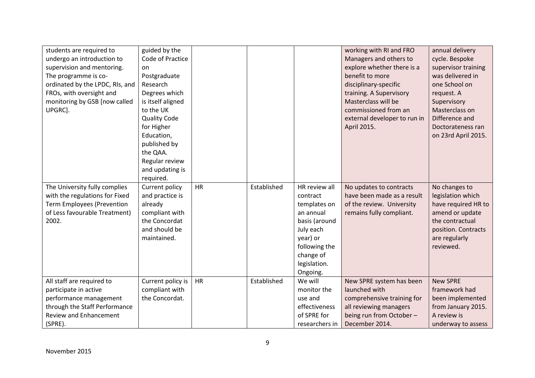| students are required to<br>undergo an introduction to<br>supervision and mentoring.<br>The programme is co-<br>ordinated by the LPDC, RIs, and<br>FROs, with oversight and<br>monitoring by GSB [now called<br>UPGRC]. | guided by the<br>Code of Practice<br>on<br>Postgraduate<br>Research<br>Degrees which<br>is itself aligned<br>to the UK<br><b>Quality Code</b><br>for Higher<br>Education,<br>published by<br>the QAA.<br>Regular review<br>and updating is<br>required. |           |             |                                                                                                                                                            | working with RI and FRO<br>Managers and others to<br>explore whether there is a<br>benefit to more<br>disciplinary-specific<br>training. A Supervisory<br>Masterclass will be<br>commissioned from an<br>external developer to run in<br>April 2015. | annual delivery<br>cycle. Bespoke<br>supervisor training<br>was delivered in<br>one School on<br>request. A<br>Supervisory<br>Masterclass on<br>Difference and<br>Doctorateness ran<br>on 23rd April 2015. |
|-------------------------------------------------------------------------------------------------------------------------------------------------------------------------------------------------------------------------|---------------------------------------------------------------------------------------------------------------------------------------------------------------------------------------------------------------------------------------------------------|-----------|-------------|------------------------------------------------------------------------------------------------------------------------------------------------------------|------------------------------------------------------------------------------------------------------------------------------------------------------------------------------------------------------------------------------------------------------|------------------------------------------------------------------------------------------------------------------------------------------------------------------------------------------------------------|
| The University fully complies<br>with the regulations for Fixed<br><b>Term Employees (Prevention</b><br>of Less favourable Treatment)<br>2002.                                                                          | Current policy<br>and practice is<br>already<br>compliant with<br>the Concordat<br>and should be<br>maintained.                                                                                                                                         | <b>HR</b> | Established | HR review all<br>contract<br>templates on<br>an annual<br>basis (around<br>July each<br>year) or<br>following the<br>change of<br>legislation.<br>Ongoing. | No updates to contracts<br>have been made as a result<br>of the review. University<br>remains fully compliant.                                                                                                                                       | No changes to<br>legislation which<br>have required HR to<br>amend or update<br>the contractual<br>position. Contracts<br>are regularly<br>reviewed.                                                       |
| All staff are required to<br>participate in active<br>performance management<br>through the Staff Performance<br><b>Review and Enhancement</b><br>(SPRE).                                                               | Current policy is<br>compliant with<br>the Concordat.                                                                                                                                                                                                   | <b>HR</b> | Established | We will<br>monitor the<br>use and<br>effectiveness<br>of SPRE for<br>researchers in                                                                        | New SPRE system has been<br>launched with<br>comprehensive training for<br>all reviewing managers<br>being run from October-<br>December 2014.                                                                                                       | <b>New SPRE</b><br>framework had<br>been implemented<br>from January 2015.<br>A review is<br>underway to assess                                                                                            |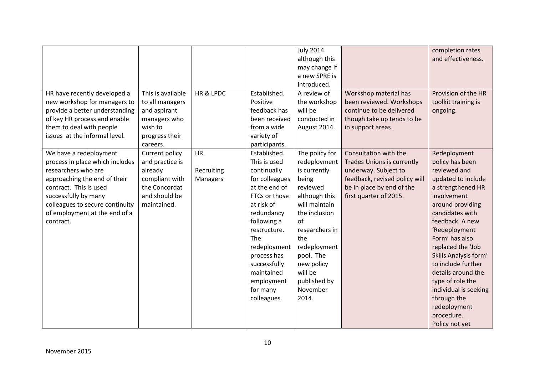|                                 |                   |            |                | <b>July 2014</b> |                                   | completion rates      |
|---------------------------------|-------------------|------------|----------------|------------------|-----------------------------------|-----------------------|
|                                 |                   |            |                | although this    |                                   | and effectiveness.    |
|                                 |                   |            |                | may change if    |                                   |                       |
|                                 |                   |            |                | a new SPRE is    |                                   |                       |
|                                 |                   |            |                | introduced.      |                                   |                       |
| HR have recently developed a    | This is available | HR & LPDC  | Established.   | A review of      | Workshop material has             | Provision of the HR   |
| new workshop for managers to    | to all managers   |            | Positive       | the workshop     | been reviewed. Workshops          | toolkit training is   |
| provide a better understanding  | and aspirant      |            | feedback has   | will be          | continue to be delivered          | ongoing.              |
| of key HR process and enable    | managers who      |            | been received  | conducted in     | though take up tends to be        |                       |
| them to deal with people        | wish to           |            | from a wide    | August 2014.     | in support areas.                 |                       |
| issues at the informal level.   | progress their    |            | variety of     |                  |                                   |                       |
|                                 | careers.          |            | participants.  |                  |                                   |                       |
| We have a redeployment          | Current policy    | <b>HR</b>  | Established.   | The policy for   | Consultation with the             | Redeployment          |
| process in place which includes | and practice is   |            | This is used   | redeployment     | <b>Trades Unions is currently</b> | policy has been       |
| researchers who are             | already           | Recruiting | continually    | is currently     | underway. Subject to              | reviewed and          |
| approaching the end of their    | compliant with    | Managers   | for colleagues | being            | feedback, revised policy will     | updated to include    |
| contract. This is used          | the Concordat     |            | at the end of  | reviewed         | be in place by end of the         | a strengthened HR     |
| successfully by many            | and should be     |            | FTCs or those  | although this    | first quarter of 2015.            | involvement           |
| colleagues to secure continuity | maintained.       |            | at risk of     | will maintain    |                                   | around providing      |
| of employment at the end of a   |                   |            | redundancy     | the inclusion    |                                   | candidates with       |
| contract.                       |                   |            | following a    | of               |                                   | feedback. A new       |
|                                 |                   |            | restructure.   | researchers in   |                                   | 'Redeployment         |
|                                 |                   |            | The            | the              |                                   | Form' has also        |
|                                 |                   |            | redeployment   | redeployment     |                                   | replaced the 'Job     |
|                                 |                   |            | process has    | pool. The        |                                   | Skills Analysis form' |
|                                 |                   |            | successfully   | new policy       |                                   | to include further    |
|                                 |                   |            | maintained     | will be          |                                   | details around the    |
|                                 |                   |            | employment     | published by     |                                   | type of role the      |
|                                 |                   |            | for many       | November         |                                   | individual is seeking |
|                                 |                   |            | colleagues.    | 2014.            |                                   | through the           |
|                                 |                   |            |                |                  |                                   | redeployment          |
|                                 |                   |            |                |                  |                                   | procedure.            |
|                                 |                   |            |                |                  |                                   | Policy not yet        |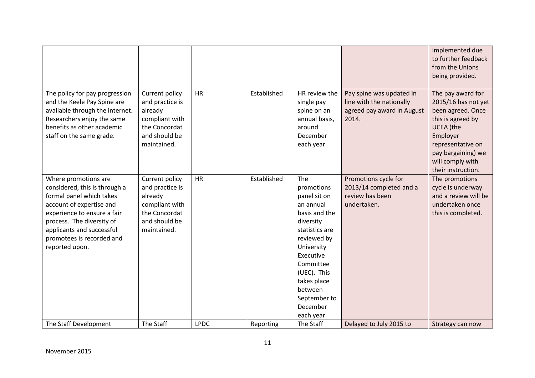|                                                                                                                                                                                                                                                       |                                                                                                                 |             |             |                                                                                                                                                                                                                                          |                                                                                             | implemented due<br>to further feedback<br>from the Unions<br>being provided.                                                                                                                            |
|-------------------------------------------------------------------------------------------------------------------------------------------------------------------------------------------------------------------------------------------------------|-----------------------------------------------------------------------------------------------------------------|-------------|-------------|------------------------------------------------------------------------------------------------------------------------------------------------------------------------------------------------------------------------------------------|---------------------------------------------------------------------------------------------|---------------------------------------------------------------------------------------------------------------------------------------------------------------------------------------------------------|
| The policy for pay progression<br>and the Keele Pay Spine are<br>available through the internet.<br>Researchers enjoy the same<br>benefits as other academic<br>staff on the same grade.                                                              | Current policy<br>and practice is<br>already<br>compliant with<br>the Concordat<br>and should be<br>maintained. | <b>HR</b>   | Established | HR review the<br>single pay<br>spine on an<br>annual basis,<br>around<br>December<br>each year.                                                                                                                                          | Pay spine was updated in<br>line with the nationally<br>agreed pay award in August<br>2014. | The pay award for<br>2015/16 has not yet<br>been agreed. Once<br>this is agreed by<br><b>UCEA</b> (the<br>Employer<br>representative on<br>pay bargaining) we<br>will comply with<br>their instruction. |
| Where promotions are<br>considered, this is through a<br>formal panel which takes<br>account of expertise and<br>experience to ensure a fair<br>process. The diversity of<br>applicants and successful<br>promotees is recorded and<br>reported upon. | Current policy<br>and practice is<br>already<br>compliant with<br>the Concordat<br>and should be<br>maintained. | HR          | Established | The<br>promotions<br>panel sit on<br>an annual<br>basis and the<br>diversity<br>statistics are<br>reviewed by<br>University<br>Executive<br>Committee<br>(UEC). This<br>takes place<br>between<br>September to<br>December<br>each year. | Promotions cycle for<br>2013/14 completed and a<br>review has been<br>undertaken.           | The promotions<br>cycle is underway<br>and a review will be<br>undertaken once<br>this is completed.                                                                                                    |
| The Staff Development                                                                                                                                                                                                                                 | The Staff                                                                                                       | <b>LPDC</b> | Reporting   | The Staff                                                                                                                                                                                                                                | Delayed to July 2015 to                                                                     | Strategy can now                                                                                                                                                                                        |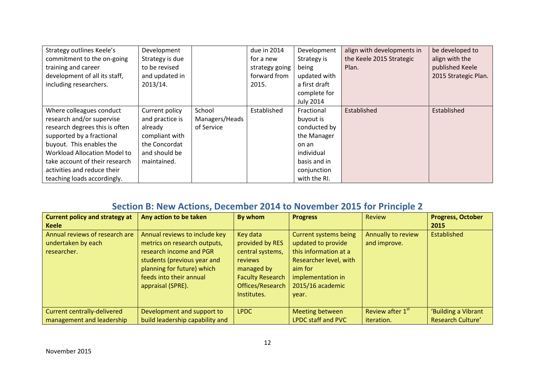| Strategy outlines Keele's      | Development     |                | due in 2014    | Development      | align with developments in | be developed to      |
|--------------------------------|-----------------|----------------|----------------|------------------|----------------------------|----------------------|
| commitment to the on-going     | Strategy is due |                | for a new      | Strategy is      | the Keele 2015 Strategic   | align with the       |
| training and career            | to be revised   |                | strategy going | being            | Plan.                      | published Keele      |
| development of all its staff,  | and updated in  |                | forward from   | updated with     |                            | 2015 Strategic Plan. |
| including researchers.         | 2013/14.        |                | 2015.          | a first draft    |                            |                      |
|                                |                 |                |                | complete for     |                            |                      |
|                                |                 |                |                | <b>July 2014</b> |                            |                      |
| Where colleagues conduct       | Current policy  | School         | Established    | Fractional       | Established                | Established          |
| research and/or supervise      | and practice is | Managers/Heads |                | buyout is        |                            |                      |
| research degrees this is often | already         | of Service     |                | conducted by     |                            |                      |
| supported by a fractional      | compliant with  |                |                | the Manager      |                            |                      |
| buyout. This enables the       | the Concordat   |                |                | on an            |                            |                      |
| Workload Allocation Model to   | and should be   |                |                | individual       |                            |                      |
| take account of their research | maintained.     |                |                | basis and in     |                            |                      |
| activities and reduce their    |                 |                |                | conjunction      |                            |                      |
| teaching loads accordingly.    |                 |                |                | with the RI.     |                            |                      |

### **Section B: New Actions, December 2014 to November 2015 for Principle 2**

| <b>Current policy and strategy at</b> | Any action to be taken          | By whom                 | <b>Progress</b>              | Review             | <b>Progress, October</b> |
|---------------------------------------|---------------------------------|-------------------------|------------------------------|--------------------|--------------------------|
| <b>Keele</b>                          |                                 |                         |                              |                    | 2015                     |
| Annual reviews of research are        | Annual reviews to include key   | Key data                | <b>Current systems being</b> | Annually to review | <b>Established</b>       |
| undertaken by each                    | metrics on research outputs,    | provided by RES         | updated to provide           | and improve.       |                          |
| researcher.                           | research income and PGR         | central systems,        | this information at a        |                    |                          |
|                                       | students (previous year and     | <b>reviews</b>          | Researcher level, with       |                    |                          |
|                                       | planning for future) which      | managed by              | aim for                      |                    |                          |
|                                       | feeds into their annual         | <b>Faculty Research</b> | implementation in            |                    |                          |
|                                       | appraisal (SPRE).               | Offices/Research        | 2015/16 academic             |                    |                          |
|                                       |                                 | Institutes.             | year.                        |                    |                          |
|                                       |                                 |                         |                              |                    |                          |
| Current centrally-delivered           | Development and support to      | <b>LPDC</b>             | Meeting between              | Review after 1st   | 'Building a Vibrant      |
| management and leadership             | build leadership capability and |                         | <b>LPDC staff and PVC</b>    | iteration.         | <b>Research Culture'</b> |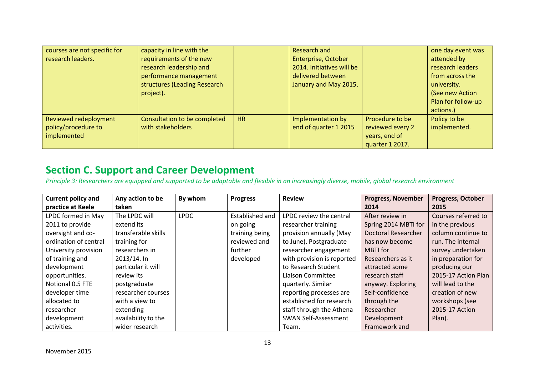| courses are not specific for | capacity in line with the    |           | Research and              |                  | one day event was  |
|------------------------------|------------------------------|-----------|---------------------------|------------------|--------------------|
| research leaders.            | requirements of the new      |           | Enterprise, October       |                  | attended by        |
|                              | research leadership and      |           | 2014. Initiatives will be |                  | research leaders   |
|                              | performance management       |           | delivered between         |                  | from across the    |
|                              | structures (Leading Research |           | January and May 2015.     |                  | university.        |
|                              | project).                    |           |                           |                  | (See new Action    |
|                              |                              |           |                           |                  | Plan for follow-up |
|                              |                              |           |                           |                  | actions.)          |
| Reviewed redeployment        | Consultation to be completed | <b>HR</b> | Implementation by         | Procedure to be  | Policy to be       |
| policy/procedure to          | with stakeholders            |           | end of quarter 1 2015     | reviewed every 2 | implemented.       |
| implemented                  |                              |           |                           | years, end of    |                    |
|                              |                              |           |                           | quarter 1 2017.  |                    |

# **Section C. Support and Career Development**

*Principle 3: Researchers are equipped and supported to be adaptable and flexible in an increasingly diverse, mobile, global research environment*

| <b>Current policy and</b> | Any action to be    | By whom     | <b>Progress</b> | <b>Review</b>               | <b>Progress, November</b>  | <b>Progress, October</b> |
|---------------------------|---------------------|-------------|-----------------|-----------------------------|----------------------------|--------------------------|
| practice at Keele         | taken               |             |                 |                             | 2014                       | 2015                     |
| LPDC formed in May        | The LPDC will       | <b>LPDC</b> | Established and | LPDC review the central     | After review in            | Courses referred to      |
| 2011 to provide           | extend its          |             | on going        | researcher training         | Spring 2014 MBTI for       | in the previous          |
| oversight and co-         | transferable skills |             | training being  | provision annually (May     | <b>Doctoral Researcher</b> | column continue to       |
| ordination of central     | training for        |             | reviewed and    | to June). Postgraduate      | has now become             | run. The internal        |
| University provision      | researchers in      |             | further         | researcher engagement       | MBTI for                   | survey undertaken        |
| of training and           | 2013/14. In         |             | developed       | with provision is reported  | Researchers as it          | in preparation for       |
| development               | particular it will  |             |                 | to Research Student         | attracted some             | producing our            |
| opportunities.            | review its          |             |                 | <b>Liaison Committee</b>    | research staff             | 2015-17 Action Plan      |
| Notional 0.5 FTE          | postgraduate        |             |                 | quarterly. Similar          | anyway. Exploring          | will lead to the         |
| developer time            | researcher courses  |             |                 | reporting processes are     | Self-confidence            | creation of new          |
| allocated to              | with a view to      |             |                 | established for research    | through the                | workshops (see           |
| researcher                | extending           |             |                 | staff through the Athena    | Researcher                 | 2015-17 Action           |
| development               | availability to the |             |                 | <b>SWAN Self-Assessment</b> | Development                | Plan).                   |
| activities.               | wider research      |             |                 | Team.                       | Framework and              |                          |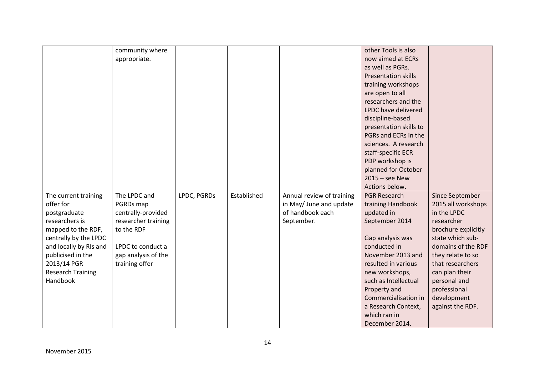|                          | community where     |             |             |                           | other Tools is also        |                     |
|--------------------------|---------------------|-------------|-------------|---------------------------|----------------------------|---------------------|
|                          | appropriate.        |             |             |                           | now aimed at ECRs          |                     |
|                          |                     |             |             |                           | as well as PGRs.           |                     |
|                          |                     |             |             |                           | <b>Presentation skills</b> |                     |
|                          |                     |             |             |                           | training workshops         |                     |
|                          |                     |             |             |                           | are open to all            |                     |
|                          |                     |             |             |                           | researchers and the        |                     |
|                          |                     |             |             |                           | <b>LPDC</b> have delivered |                     |
|                          |                     |             |             |                           | discipline-based           |                     |
|                          |                     |             |             |                           | presentation skills to     |                     |
|                          |                     |             |             |                           | PGRs and ECRs in the       |                     |
|                          |                     |             |             |                           | sciences. A research       |                     |
|                          |                     |             |             |                           | staff-specific ECR         |                     |
|                          |                     |             |             |                           | PDP workshop is            |                     |
|                          |                     |             |             |                           | planned for October        |                     |
|                          |                     |             |             |                           | $2015 -$ see New           |                     |
|                          |                     |             |             |                           | Actions below.             |                     |
| The current training     | The LPDC and        | LPDC, PGRDs | Established | Annual review of training | <b>PGR Research</b>        | Since September     |
| offer for                | PGRDs map           |             |             | in May/ June and update   | training Handbook          | 2015 all workshops  |
| postgraduate             | centrally-provided  |             |             | of handbook each          | updated in                 | in the LPDC         |
| researchers is           | researcher training |             |             | September.                | September 2014             | researcher          |
| mapped to the RDF,       | to the RDF          |             |             |                           |                            | brochure explicitly |
| centrally by the LPDC    |                     |             |             |                           | Gap analysis was           | state which sub-    |
| and locally by RIs and   | LPDC to conduct a   |             |             |                           | conducted in               | domains of the RDF  |
| publicised in the        | gap analysis of the |             |             |                           | November 2013 and          | they relate to so   |
| 2013/14 PGR              | training offer      |             |             |                           | resulted in various        | that researchers    |
| <b>Research Training</b> |                     |             |             |                           | new workshops,             | can plan their      |
| Handbook                 |                     |             |             |                           | such as Intellectual       | personal and        |
|                          |                     |             |             |                           | Property and               | professional        |
|                          |                     |             |             |                           | Commercialisation in       | development         |
|                          |                     |             |             |                           | a Research Context,        | against the RDF.    |
|                          |                     |             |             |                           | which ran in               |                     |
|                          |                     |             |             |                           | December 2014.             |                     |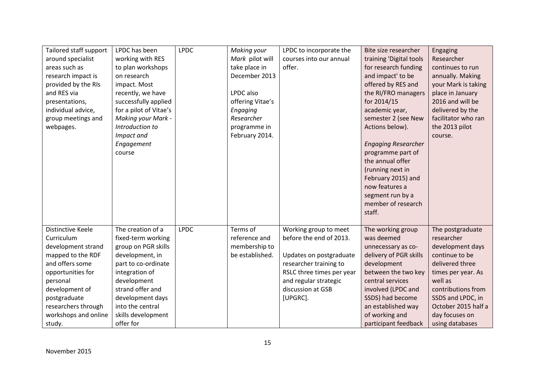| Tailored staff support<br>around specialist<br>areas such as<br>research impact is<br>provided by the RIs<br>and RES via<br>presentations,<br>individual advice,<br>group meetings and<br>webpages. | LPDC has been<br>working with RES<br>to plan workshops<br>on research<br>impact. Most<br>recently, we have<br>successfully applied<br>for a pilot of Vitae's<br>Making your Mark -<br>Introduction to<br>Impact and<br>Engagement<br>course | <b>LPDC</b> | Making your<br>Mark pilot will<br>take place in<br>December 2013<br>LPDC also<br>offering Vitae's<br>Engaging<br>Researcher<br>programme in<br>February 2014. | LPDC to incorporate the<br>courses into our annual<br>offer.                                                                                                | Bite size researcher<br>training 'Digital tools<br>for research funding<br>and impact' to be<br>offered by RES and<br>the RI/FRO managers<br>for 2014/15<br>academic year,<br>semester 2 (see New<br>Actions below).<br><b>Engaging Researcher</b><br>programme part of<br>the annual offer<br>(running next in<br>February 2015) and<br>now features a<br>segment run by a<br>member of research | Engaging<br>Researcher<br>continues to run<br>annually. Making<br>your Mark is taking<br>place in January<br>2016 and will be<br>delivered by the<br>facilitator who ran<br>the 2013 pilot<br>course. |
|-----------------------------------------------------------------------------------------------------------------------------------------------------------------------------------------------------|---------------------------------------------------------------------------------------------------------------------------------------------------------------------------------------------------------------------------------------------|-------------|---------------------------------------------------------------------------------------------------------------------------------------------------------------|-------------------------------------------------------------------------------------------------------------------------------------------------------------|---------------------------------------------------------------------------------------------------------------------------------------------------------------------------------------------------------------------------------------------------------------------------------------------------------------------------------------------------------------------------------------------------|-------------------------------------------------------------------------------------------------------------------------------------------------------------------------------------------------------|
| <b>Distinctive Keele</b><br>Curriculum<br>development strand<br>mapped to the RDF<br>and offers some<br>opportunities for<br>personal                                                               | The creation of a<br>fixed-term working<br>group on PGR skills<br>development, in<br>part to co-ordinate<br>integration of<br>development                                                                                                   | <b>LPDC</b> | Terms of<br>reference and<br>membership to<br>be established.                                                                                                 | Working group to meet<br>before the end of 2013.<br>Updates on postgraduate<br>researcher training to<br>RSLC three times per year<br>and regular strategic | staff.<br>The working group<br>was deemed<br>unnecessary as co-<br>delivery of PGR skills<br>development<br>between the two key<br>central services                                                                                                                                                                                                                                               | The postgraduate<br>researcher<br>development days<br>continue to be<br>delivered three<br>times per year. As<br>well as                                                                              |
| development of<br>postgraduate<br>researchers through<br>workshops and online<br>study.                                                                                                             | strand offer and<br>development days<br>into the central<br>skills development<br>offer for                                                                                                                                                 |             |                                                                                                                                                               | discussion at GSB<br>[UPGRC].                                                                                                                               | involved (LPDC and<br>SSDS) had become<br>an established way<br>of working and<br>participant feedback                                                                                                                                                                                                                                                                                            | contributions from<br>SSDS and LPDC, in<br>October 2015 half a<br>day focuses on<br>using databases                                                                                                   |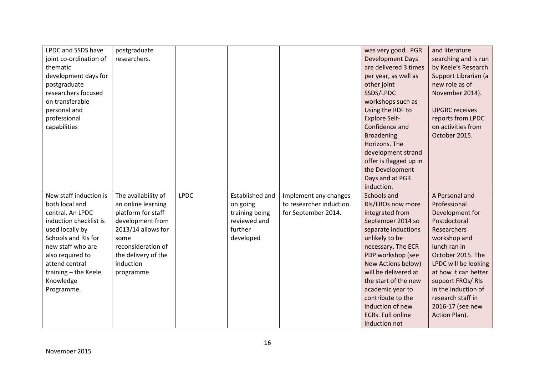| LPDC and SSDS have     | postgraduate        |             |                 |                         | was very good. PGR       | and literature        |
|------------------------|---------------------|-------------|-----------------|-------------------------|--------------------------|-----------------------|
| joint co-ordination of | researchers.        |             |                 |                         | <b>Development Days</b>  | searching and is run  |
| thematic               |                     |             |                 |                         | are delivered 3 times    | by Keele's Research   |
| development days for   |                     |             |                 |                         | per year, as well as     | Support Librarian (a  |
| postgraduate           |                     |             |                 |                         | other joint              | new role as of        |
| researchers focused    |                     |             |                 |                         | SSDS/LPDC                | November 2014).       |
| on transferable        |                     |             |                 |                         | workshops such as        |                       |
| personal and           |                     |             |                 |                         | Using the RDF to         | <b>UPGRC receives</b> |
| professional           |                     |             |                 |                         | <b>Explore Self-</b>     | reports from LPDC     |
| capabilities           |                     |             |                 |                         | Confidence and           | on activities from    |
|                        |                     |             |                 |                         | <b>Broadening</b>        | October 2015.         |
|                        |                     |             |                 |                         | Horizons. The            |                       |
|                        |                     |             |                 |                         | development strand       |                       |
|                        |                     |             |                 |                         | offer is flagged up in   |                       |
|                        |                     |             |                 |                         | the Development          |                       |
|                        |                     |             |                 |                         | Days and at PGR          |                       |
|                        |                     |             |                 |                         | induction.               |                       |
| New staff induction is | The availability of | <b>LPDC</b> | Established and | Implement any changes   | Schools and              | A Personal and        |
| both local and         | an online learning  |             | on going        | to researcher induction | RIs/FROs now more        | Professional          |
| central. An LPDC       | platform for staff  |             | training being  | for September 2014.     | integrated from          | Development for       |
| induction checklist is | development from    |             | reviewed and    |                         | September 2014 so        | Postdoctoral          |
| used locally by        | 2013/14 allows for  |             | further         |                         | separate inductions      | Researchers           |
| Schools and RIs for    | some                |             | developed       |                         | unlikely to be           | workshop and          |
| new staff who are      | reconsideration of  |             |                 |                         | necessary. The ECR       | lunch ran in          |
| also required to       | the delivery of the |             |                 |                         | PDP workshop (see        | October 2015. The     |
| attend central         | induction           |             |                 |                         | New Actions below)       | LPDC will be looking  |
| training - the Keele   | programme.          |             |                 |                         | will be delivered at     | at how it can better  |
| Knowledge              |                     |             |                 |                         | the start of the new     | support FROs/RIs      |
| Programme.             |                     |             |                 |                         | academic year to         | in the induction of   |
|                        |                     |             |                 |                         | contribute to the        | research staff in     |
|                        |                     |             |                 |                         | induction of new         | 2016-17 (see new      |
|                        |                     |             |                 |                         | <b>ECRs. Full online</b> | Action Plan).         |
|                        |                     |             |                 |                         | induction not            |                       |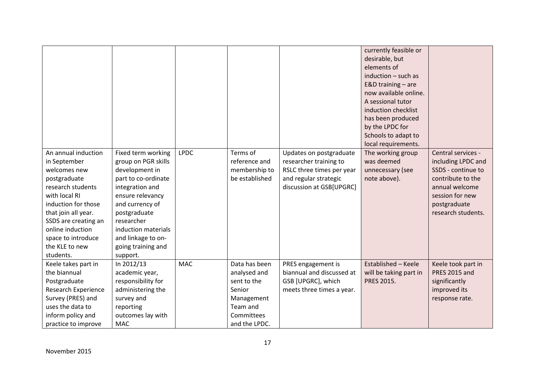|                                                                                                                                                                                                                                                          |                                                                                                                                                                                                                                                           |             |                                                                                                                 |                                                                                                                                     | currently feasible or<br>desirable, but<br>elements of<br>induction $-$ such as<br>E&D training - are<br>now available online.<br>A sessional tutor<br>induction checklist<br>has been produced<br>by the LPDC for<br>Schools to adapt to<br>local requirements. |                                                                                                                                                                |
|----------------------------------------------------------------------------------------------------------------------------------------------------------------------------------------------------------------------------------------------------------|-----------------------------------------------------------------------------------------------------------------------------------------------------------------------------------------------------------------------------------------------------------|-------------|-----------------------------------------------------------------------------------------------------------------|-------------------------------------------------------------------------------------------------------------------------------------|------------------------------------------------------------------------------------------------------------------------------------------------------------------------------------------------------------------------------------------------------------------|----------------------------------------------------------------------------------------------------------------------------------------------------------------|
| An annual induction<br>in September<br>welcomes new<br>postgraduate<br>research students<br>with local RI<br>induction for those<br>that join all year.<br>SSDS are creating an<br>online induction<br>space to introduce<br>the KLE to new<br>students. | Fixed term working<br>group on PGR skills<br>development in<br>part to co-ordinate<br>integration and<br>ensure relevancy<br>and currency of<br>postgraduate<br>researcher<br>induction materials<br>and linkage to on-<br>going training and<br>support. | <b>LPDC</b> | Terms of<br>reference and<br>membership to<br>be established                                                    | Updates on postgraduate<br>researcher training to<br>RSLC three times per year<br>and regular strategic<br>discussion at GSB[UPGRC] | The working group<br>was deemed<br>unnecessary (see<br>note above).                                                                                                                                                                                              | Central services -<br>including LPDC and<br>SSDS - continue to<br>contribute to the<br>annual welcome<br>session for new<br>postgraduate<br>research students. |
| Keele takes part in<br>the biannual<br>Postgraduate<br>Research Experience<br>Survey (PRES) and<br>uses the data to<br>inform policy and<br>practice to improve                                                                                          | In 2012/13<br>academic year,<br>responsibility for<br>administering the<br>survey and<br>reporting<br>outcomes lay with<br><b>MAC</b>                                                                                                                     | <b>MAC</b>  | Data has been<br>analysed and<br>sent to the<br>Senior<br>Management<br>Team and<br>Committees<br>and the LPDC. | PRES engagement is<br>biannual and discussed at<br>GSB [UPGRC], which<br>meets three times a year.                                  | Established - Keele<br>will be taking part in<br>PRES 2015.                                                                                                                                                                                                      | Keele took part in<br><b>PRES 2015 and</b><br>significantly<br>improved its<br>response rate.                                                                  |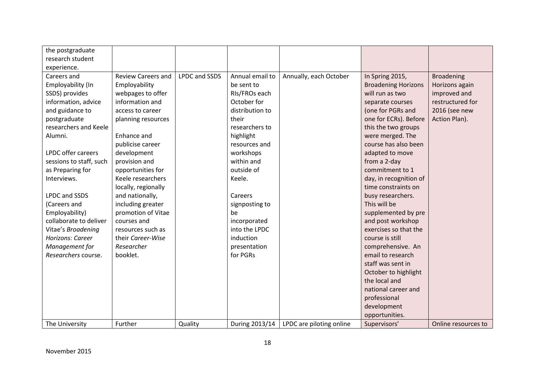| the postgraduate          |                           |                      |                 |                          |                            |                     |
|---------------------------|---------------------------|----------------------|-----------------|--------------------------|----------------------------|---------------------|
| research student          |                           |                      |                 |                          |                            |                     |
| experience.               |                           |                      |                 |                          |                            |                     |
| Careers and               | <b>Review Careers and</b> | <b>LPDC and SSDS</b> | Annual email to | Annually, each October   | In Spring 2015,            | <b>Broadening</b>   |
| Employability (In         | Employability             |                      | be sent to      |                          | <b>Broadening Horizons</b> | Horizons again      |
| SSDS) provides            | webpages to offer         |                      | RIs/FROs each   |                          | will run as two            | improved and        |
| information, advice       | information and           |                      | October for     |                          | separate courses           | restructured for    |
| and guidance to           | access to career          |                      | distribution to |                          | (one for PGRs and          | 2016 (see new       |
| postgraduate              | planning resources        |                      | their           |                          | one for ECRs). Before      | Action Plan).       |
| researchers and Keele     |                           |                      | researchers to  |                          | this the two groups        |                     |
| Alumni.                   | Enhance and               |                      | highlight       |                          | were merged. The           |                     |
|                           | publicise career          |                      | resources and   |                          | course has also been       |                     |
| <b>LPDC</b> offer careers | development               |                      | workshops       |                          | adapted to move            |                     |
| sessions to staff, such   | provision and             |                      | within and      |                          | from a 2-day               |                     |
| as Preparing for          | opportunities for         |                      | outside of      |                          | commitment to 1            |                     |
| Interviews.               | Keele researchers         |                      | Keele.          |                          | day, in recognition of     |                     |
|                           | locally, regionally       |                      |                 |                          | time constraints on        |                     |
| LPDC and SSDS             | and nationally,           |                      | Careers         |                          | busy researchers.          |                     |
| (Careers and              | including greater         |                      | signposting to  |                          | This will be               |                     |
| Employability)            | promotion of Vitae        |                      | be              |                          | supplemented by pre        |                     |
| collaborate to deliver    | courses and               |                      | incorporated    |                          | and post workshop          |                     |
| Vitae's Broadening        | resources such as         |                      | into the LPDC   |                          | exercises so that the      |                     |
| Horizons: Career          | their Career-Wise         |                      | induction       |                          | course is still            |                     |
| Management for            | Researcher                |                      | presentation    |                          | comprehensive. An          |                     |
| Researchers course.       | booklet.                  |                      | for PGRs        |                          | email to research          |                     |
|                           |                           |                      |                 |                          | staff was sent in          |                     |
|                           |                           |                      |                 |                          | October to highlight       |                     |
|                           |                           |                      |                 |                          | the local and              |                     |
|                           |                           |                      |                 |                          | national career and        |                     |
|                           |                           |                      |                 |                          | professional               |                     |
|                           |                           |                      |                 |                          | development                |                     |
|                           |                           |                      |                 |                          | opportunities.             |                     |
| The University            | Further                   | Quality              | During 2013/14  | LPDC are piloting online | Supervisors'               | Online resources to |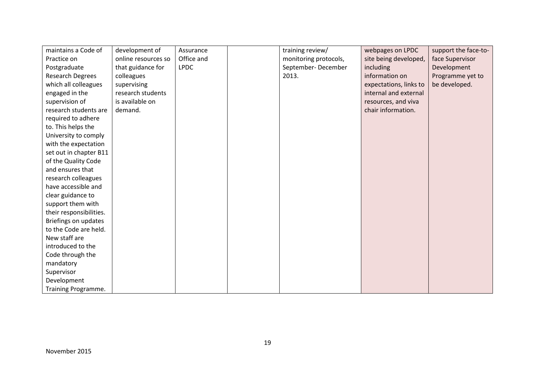| maintains a Code of     | development of      | Assurance   | training review/      | webpages on LPDC       | support the face-to- |
|-------------------------|---------------------|-------------|-----------------------|------------------------|----------------------|
| Practice on             | online resources so | Office and  | monitoring protocols, | site being developed,  | face Supervisor      |
| Postgraduate            | that guidance for   | <b>LPDC</b> | September-December    | including              | Development          |
| <b>Research Degrees</b> | colleagues          |             | 2013.                 | information on         | Programme yet to     |
| which all colleagues    | supervising         |             |                       | expectations, links to | be developed.        |
| engaged in the          | research students   |             |                       | internal and external  |                      |
| supervision of          | is available on     |             |                       | resources, and viva    |                      |
| research students are   | demand.             |             |                       | chair information.     |                      |
| required to adhere      |                     |             |                       |                        |                      |
| to. This helps the      |                     |             |                       |                        |                      |
| University to comply    |                     |             |                       |                        |                      |
| with the expectation    |                     |             |                       |                        |                      |
| set out in chapter B11  |                     |             |                       |                        |                      |
| of the Quality Code     |                     |             |                       |                        |                      |
| and ensures that        |                     |             |                       |                        |                      |
| research colleagues     |                     |             |                       |                        |                      |
| have accessible and     |                     |             |                       |                        |                      |
| clear guidance to       |                     |             |                       |                        |                      |
| support them with       |                     |             |                       |                        |                      |
| their responsibilities. |                     |             |                       |                        |                      |
| Briefings on updates    |                     |             |                       |                        |                      |
| to the Code are held.   |                     |             |                       |                        |                      |
| New staff are           |                     |             |                       |                        |                      |
| introduced to the       |                     |             |                       |                        |                      |
| Code through the        |                     |             |                       |                        |                      |
| mandatory               |                     |             |                       |                        |                      |
| Supervisor              |                     |             |                       |                        |                      |
| Development             |                     |             |                       |                        |                      |
| Training Programme.     |                     |             |                       |                        |                      |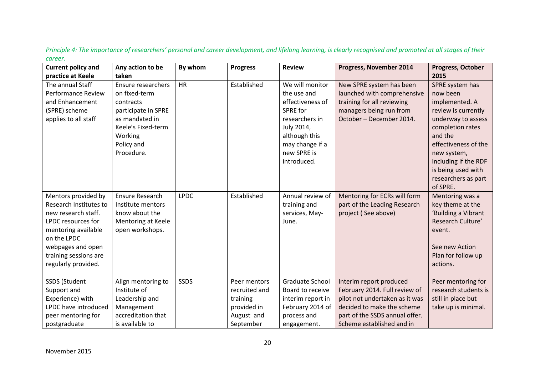| <b>Current policy and</b> | Any action to be    | By whom     | <b>Progress</b> | <b>Review</b>          | Progress, November 2014        | <b>Progress, October</b> |
|---------------------------|---------------------|-------------|-----------------|------------------------|--------------------------------|--------------------------|
| practice at Keele         | taken               |             |                 |                        |                                | 2015                     |
| The annual Staff          | Ensure researchers  | <b>HR</b>   | Established     | We will monitor        | New SPRE system has been       | SPRE system has          |
| Performance Review        | on fixed-term       |             |                 | the use and            | launched with comprehensive    | now been                 |
| and Enhancement           | contracts           |             |                 | effectiveness of       | training for all reviewing     | implemented. A           |
| (SPRE) scheme             | participate in SPRE |             |                 | SPRE for               | managers being run from        | review is currently      |
| applies to all staff      | as mandated in      |             |                 | researchers in         | October - December 2014.       | underway to assess       |
|                           | Keele's Fixed-term  |             |                 | July 2014,             |                                | completion rates         |
|                           | Working             |             |                 | although this          |                                | and the                  |
|                           | Policy and          |             |                 | may change if a        |                                | effectiveness of the     |
|                           | Procedure.          |             |                 | new SPRE is            |                                | new system,              |
|                           |                     |             |                 | introduced.            |                                | including if the RDF     |
|                           |                     |             |                 |                        |                                | is being used with       |
|                           |                     |             |                 |                        |                                | researchers as part      |
|                           |                     |             |                 |                        |                                | of SPRE.                 |
| Mentors provided by       | Ensure Research     | <b>LPDC</b> | Established     | Annual review of       | Mentoring for ECRs will form   | Mentoring was a          |
| Research Institutes to    | Institute mentors   |             |                 | training and           | part of the Leading Research   | key theme at the         |
| new research staff.       | know about the      |             |                 | services, May-         | project (See above)            | 'Building a Vibrant      |
| LPDC resources for        | Mentoring at Keele  |             |                 | June.                  |                                | Research Culture'        |
| mentoring available       | open workshops.     |             |                 |                        |                                | event.                   |
| on the LPDC               |                     |             |                 |                        |                                |                          |
| webpages and open         |                     |             |                 |                        |                                | See new Action           |
| training sessions are     |                     |             |                 |                        |                                | Plan for follow up       |
| regularly provided.       |                     |             |                 |                        |                                | actions.                 |
|                           |                     |             |                 |                        |                                |                          |
| SSDS (Student             | Align mentoring to  | <b>SSDS</b> | Peer mentors    | <b>Graduate School</b> | Interim report produced        | Peer mentoring for       |
| Support and               | Institute of        |             | recruited and   | Board to receive       | February 2014. Full review of  | research students is     |
| Experience) with          | Leadership and      |             | training        | interim report in      | pilot not undertaken as it was | still in place but       |
| LPDC have introduced      | Management          |             | provided in     | February 2014 of       | decided to make the scheme     | take up is minimal.      |
| peer mentoring for        | accreditation that  |             | August and      | process and            | part of the SSDS annual offer. |                          |
| postgraduate              | is available to     |             | September       | engagement.            | Scheme established and in      |                          |

*Principle 4: The importance of researchers' personal and career development, and lifelong learning, is clearly recognised and promoted at all stages of their career.*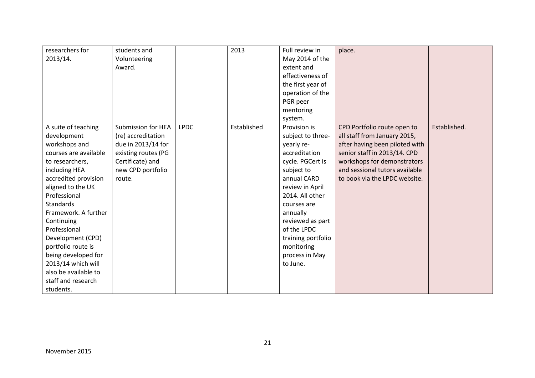| researchers for       | students and        |             | 2013        | Full review in     | place.                         |              |
|-----------------------|---------------------|-------------|-------------|--------------------|--------------------------------|--------------|
| 2013/14.              | Volunteering        |             |             | May 2014 of the    |                                |              |
|                       | Award.              |             |             | extent and         |                                |              |
|                       |                     |             |             | effectiveness of   |                                |              |
|                       |                     |             |             | the first year of  |                                |              |
|                       |                     |             |             | operation of the   |                                |              |
|                       |                     |             |             | PGR peer           |                                |              |
|                       |                     |             |             | mentoring          |                                |              |
|                       |                     |             |             | system.            |                                |              |
| A suite of teaching   | Submission for HEA  | <b>LPDC</b> | Established | Provision is       | CPD Portfolio route open to    | Established. |
| development           | (re) accreditation  |             |             | subject to three-  | all staff from January 2015,   |              |
| workshops and         | due in 2013/14 for  |             |             | yearly re-         | after having been piloted with |              |
| courses are available | existing routes (PG |             |             | accreditation      | senior staff in 2013/14. CPD   |              |
| to researchers,       | Certificate) and    |             |             | cycle. PGCert is   | workshops for demonstrators    |              |
| including HEA         | new CPD portfolio   |             |             | subject to         | and sessional tutors available |              |
| accredited provision  | route.              |             |             | annual CARD        | to book via the LPDC website.  |              |
| aligned to the UK     |                     |             |             | review in April    |                                |              |
| Professional          |                     |             |             | 2014. All other    |                                |              |
| Standards             |                     |             |             | courses are        |                                |              |
| Framework. A further  |                     |             |             | annually           |                                |              |
| Continuing            |                     |             |             | reviewed as part   |                                |              |
| Professional          |                     |             |             | of the LPDC        |                                |              |
| Development (CPD)     |                     |             |             | training portfolio |                                |              |
| portfolio route is    |                     |             |             | monitoring         |                                |              |
| being developed for   |                     |             |             | process in May     |                                |              |
| 2013/14 which will    |                     |             |             | to June.           |                                |              |
| also be available to  |                     |             |             |                    |                                |              |
| staff and research    |                     |             |             |                    |                                |              |
| students.             |                     |             |             |                    |                                |              |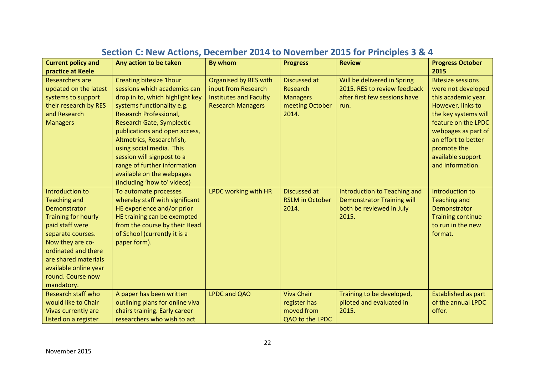| <b>Current policy and</b>  | Any action to be taken           | <b>By whom</b>                | <b>Progress</b>        | <b>Review</b>                     | <b>Progress October</b>    |
|----------------------------|----------------------------------|-------------------------------|------------------------|-----------------------------------|----------------------------|
| practice at Keele          |                                  |                               |                        |                                   | 2015                       |
| <b>Researchers are</b>     | Creating bitesize 1hour          | Organised by RES with         | Discussed at           | Will be delivered in Spring       | <b>Bitesize sessions</b>   |
| updated on the latest      | sessions which academics can     | input from Research           | Research               | 2015. RES to review feedback      | were not developed         |
| systems to support         | drop in to, which highlight key  | <b>Institutes and Faculty</b> | <b>Managers</b>        | after first few sessions have     | this academic year.        |
| their research by RES      | systems functionality e.g.       | <b>Research Managers</b>      | meeting October        | run.                              | However, links to          |
| and Research               | <b>Research Professional,</b>    |                               | 2014.                  |                                   | the key systems will       |
| <b>Managers</b>            | <b>Research Gate, Symplectic</b> |                               |                        |                                   | feature on the LPDC        |
|                            | publications and open access,    |                               |                        |                                   | webpages as part of        |
|                            | Altmetrics, Researchfish,        |                               |                        |                                   | an effort to better        |
|                            | using social media. This         |                               |                        |                                   | promote the                |
|                            | session will signpost to a       |                               |                        |                                   | available support          |
|                            | range of further information     |                               |                        |                                   | and information.           |
|                            | available on the webpages        |                               |                        |                                   |                            |
|                            | (including 'how to' videos)      |                               |                        |                                   |                            |
| Introduction to            | To automate processes            | <b>LPDC working with HR</b>   | <b>Discussed at</b>    | Introduction to Teaching and      | Introduction to            |
| <b>Teaching and</b>        | whereby staff with significant   |                               | <b>RSLM</b> in October | <b>Demonstrator Training will</b> | <b>Teaching and</b>        |
| Demonstrator               | HE experience and/or prior       |                               | 2014.                  | both be reviewed in July          | Demonstrator               |
| <b>Training for hourly</b> | HE training can be exempted      |                               |                        | 2015.                             | <b>Training continue</b>   |
| paid staff were            | from the course by their Head    |                               |                        |                                   | to run in the new          |
| separate courses.          | of School (currently it is a     |                               |                        |                                   | format.                    |
| Now they are co-           | paper form).                     |                               |                        |                                   |                            |
| ordinated and there        |                                  |                               |                        |                                   |                            |
| are shared materials       |                                  |                               |                        |                                   |                            |
| available online year      |                                  |                               |                        |                                   |                            |
| round. Course now          |                                  |                               |                        |                                   |                            |
| mandatory.                 |                                  |                               |                        |                                   |                            |
| Research staff who         | A paper has been written         | <b>LPDC and QAO</b>           | <b>Viva Chair</b>      | Training to be developed,         | <b>Established as part</b> |
| would like to Chair        | outlining plans for online viva  |                               | register has           | piloted and evaluated in          | of the annual LPDC         |
| Vivas currently are        | chairs training. Early career    |                               | moved from             | 2015.                             | offer.                     |
| listed on a register       | researchers who wish to act      |                               | QAO to the LPDC        |                                   |                            |

# **Section C: New Actions, December 2014 to November 2015 for Principles 3 & 4**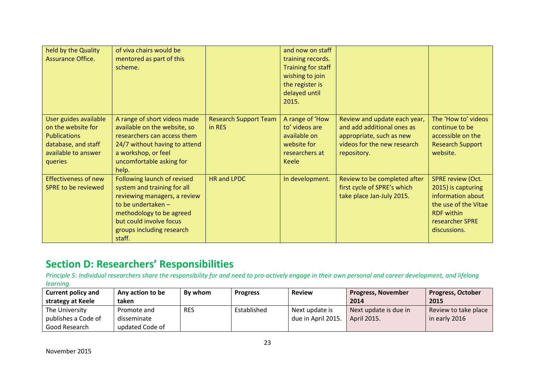| held by the Quality<br>Assurance Office.                                                                                    | of viva chairs would be<br>mentored as part of this<br>scheme.                                                                                                                                                 |                                        | and now on staff<br>training records.<br>Training for staff<br>wishing to join<br>the register is<br>delayed until<br>2015. |                                                                                                                                      |                                                                                                                                              |
|-----------------------------------------------------------------------------------------------------------------------------|----------------------------------------------------------------------------------------------------------------------------------------------------------------------------------------------------------------|----------------------------------------|-----------------------------------------------------------------------------------------------------------------------------|--------------------------------------------------------------------------------------------------------------------------------------|----------------------------------------------------------------------------------------------------------------------------------------------|
| User guides available<br>on the website for<br><b>Publications</b><br>database, and staff<br>available to answer<br>queries | A range of short videos made<br>available on the website, so<br>researchers can access them<br>24/7 without having to attend<br>a workshop, or feel<br>uncomfortable asking for<br>help.                       | <b>Research Support Team</b><br>in RES | A range of 'How<br>to' videos are<br>available on<br>website for<br>researchers at<br><b>Keele</b>                          | Review and update each year,<br>and add additional ones as<br>appropriate, such as new<br>videos for the new research<br>repository. | The 'How to' videos<br>continue to be<br>accessible on the<br><b>Research Support</b><br>website.                                            |
| <b>Effectiveness of new</b><br>SPRE to be reviewed                                                                          | Following launch of revised<br>system and training for all<br>reviewing managers, a review<br>to be undertaken -<br>methodology to be agreed<br>but could involve focus<br>groups including research<br>staff. | HR and LPDC                            | In development.                                                                                                             | Review to be completed after<br>first cycle of SPRE's which<br>take place Jan-July 2015.                                             | SPRE review (Oct.<br>2015) is capturing<br>information about<br>the use of the Vitae<br><b>RDF</b> within<br>researcher SPRE<br>discussions. |

# **Section D: Researchers' Responsibilities**

*Principle 5: Individual researchers share the responsibility for and need to pro-actively engage in their own personal and career development, and lifelong learning.*

| <b>Current policy and</b> | Any action to be | By whom    | <b>Progress</b> | <b>Review</b>      | <b>Progress, November</b> | <b>Progress, October</b> |
|---------------------------|------------------|------------|-----------------|--------------------|---------------------------|--------------------------|
| strategy at Keele         | taken            |            |                 |                    | 2014                      | 2015                     |
| The University            | Promote and      | <b>RES</b> | Established     | Next update is     | Next update is due in     | Review to take place     |
| publishes a Code of       | disseminate      |            |                 | due in April 2015. | April 2015.               | in early 2016            |
| Good Research             | updated Code of  |            |                 |                    |                           |                          |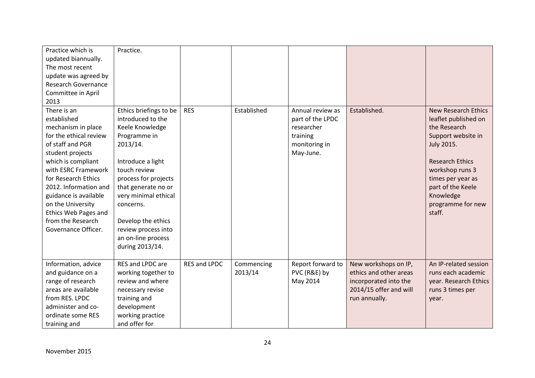| Practice which is<br>updated biannually.<br>The most recent<br>update was agreed by | Practice.              |              |             |                   |                        |                             |
|-------------------------------------------------------------------------------------|------------------------|--------------|-------------|-------------------|------------------------|-----------------------------|
| <b>Research Governance</b>                                                          |                        |              |             |                   |                        |                             |
| Committee in April<br>2013                                                          |                        |              |             |                   |                        |                             |
| There is an                                                                         | Ethics briefings to be | <b>RES</b>   | Established | Annual review as  | Established.           | <b>New Research Ethics</b>  |
| established                                                                         | introduced to the      |              |             | part of the LPDC  |                        | leaflet published on        |
| mechanism in place                                                                  | Keele Knowledge        |              |             | researcher        |                        | the Research                |
| for the ethical review                                                              | Programme in           |              |             | training          |                        | Support website in          |
| of staff and PGR                                                                    | 2013/14.               |              |             | monitoring in     |                        | <b>July 2015.</b>           |
| student projects                                                                    |                        |              |             | May-June.         |                        |                             |
| which is compliant                                                                  | Introduce a light      |              |             |                   |                        | <b>Research Ethics</b>      |
| with ESRC Framework                                                                 | touch review           |              |             |                   |                        | workshop runs 3             |
| for Research Ethics                                                                 | process for projects   |              |             |                   |                        | times per year as           |
| 2012. Information and                                                               | that generate no or    |              |             |                   |                        | part of the Keele           |
| guidance is available                                                               | very minimal ethical   |              |             |                   |                        | Knowledge                   |
| on the University<br><b>Ethics Web Pages and</b>                                    | concerns.              |              |             |                   |                        | programme for new<br>staff. |
| from the Research                                                                   | Develop the ethics     |              |             |                   |                        |                             |
| Governance Officer.                                                                 | review process into    |              |             |                   |                        |                             |
|                                                                                     | an on-line process     |              |             |                   |                        |                             |
|                                                                                     | during 2013/14.        |              |             |                   |                        |                             |
|                                                                                     |                        |              |             |                   |                        |                             |
| Information, advice                                                                 | RES and LPDC are       | RES and LPDC | Commencing  | Report forward to | New workshops on IP,   | An IP-related session       |
| and guidance on a                                                                   | working together to    |              | 2013/14     | PVC (R&E) by      | ethics and other areas | runs each academic          |
| range of research                                                                   | review and where       |              |             | May 2014          | incorporated into the  | year. Research Ethics       |
| areas are available                                                                 | necessary revise       |              |             |                   | 2014/15 offer and will | runs 3 times per            |
| from RES. LPDC                                                                      | training and           |              |             |                   | run annually.          | year.                       |
| administer and co-                                                                  | development            |              |             |                   |                        |                             |
| ordinate some RES                                                                   | working practice       |              |             |                   |                        |                             |
| training and                                                                        | and offer for          |              |             |                   |                        |                             |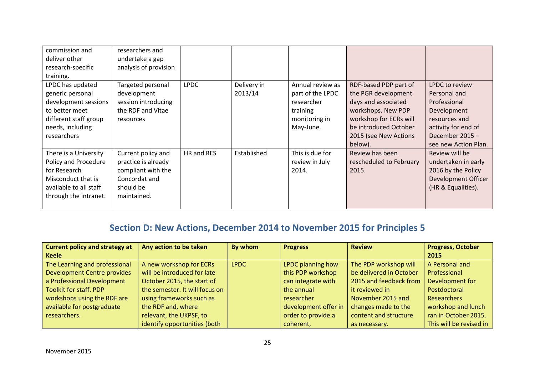| commission and<br>deliver other<br>research-specific<br>training.                                                                          | researchers and<br>undertake a gap<br>analysis of provision                                                  |             |                        |                                                                                              |                                                                                                                                                                                  |                                                                                                                                                 |
|--------------------------------------------------------------------------------------------------------------------------------------------|--------------------------------------------------------------------------------------------------------------|-------------|------------------------|----------------------------------------------------------------------------------------------|----------------------------------------------------------------------------------------------------------------------------------------------------------------------------------|-------------------------------------------------------------------------------------------------------------------------------------------------|
| LPDC has updated<br>generic personal<br>development sessions<br>to better meet<br>different staff group<br>needs, including<br>researchers | Targeted personal<br>development<br>session introducing<br>the RDF and Vitae<br>resources                    | <b>LPDC</b> | Delivery in<br>2013/14 | Annual review as<br>part of the LPDC<br>researcher<br>training<br>monitoring in<br>May-June. | RDF-based PDP part of<br>the PGR development<br>days and associated<br>workshops. New PDP<br>workshop for ECRs will<br>be introduced October<br>2015 (see New Actions<br>below). | LPDC to review<br>Personal and<br>Professional<br>Development<br>resources and<br>activity for end of<br>December 2015-<br>see new Action Plan. |
| There is a University<br>Policy and Procedure<br>for Research<br>Misconduct that is<br>available to all staff<br>through the intranet.     | Current policy and<br>practice is already<br>compliant with the<br>Concordat and<br>should be<br>maintained. | HR and RES  | Established            | This is due for<br>review in July<br>2014.                                                   | Review has been<br>rescheduled to February<br>2015.                                                                                                                              | Review will be<br>undertaken in early<br>2016 by the Policy<br>Development Officer<br>(HR & Equalities).                                        |

# **Section D: New Actions, December 2014 to November 2015 for Principles 5**

| <b>Current policy and strategy at</b> | Any action to be taken         | By whom     | <b>Progress</b>      | <b>Review</b>           | <b>Progress, October</b> |
|---------------------------------------|--------------------------------|-------------|----------------------|-------------------------|--------------------------|
| <b>Keele</b>                          |                                |             |                      |                         | 2015                     |
| The Learning and professional         | A new workshop for ECRs        | <b>LPDC</b> | LPDC planning how    | The PDP workshop will   | A Personal and           |
| <b>Development Centre provides</b>    | will be introduced for late    |             | this PDP workshop    | be delivered in October | Professional             |
| a Professional Development            | October 2015, the start of     |             | can integrate with   | 2015 and feedback from  | Development for          |
| <b>Toolkit for staff. PDP</b>         | the semester. It will focus on |             | the annual           | it reviewed in          | Postdoctoral             |
| workshops using the RDF are           | using frameworks such as       |             | researcher           | November 2015 and       | <b>Researchers</b>       |
| available for postgraduate            | the RDF and, where             |             | development offer in | changes made to the     | workshop and lunch       |
| researchers.                          | relevant, the UKPSF, to        |             | order to provide a   | content and structure   | ran in October 2015.     |
|                                       | identify opportunities (both   |             | coherent,            | as necessary.           | This will be revised in  |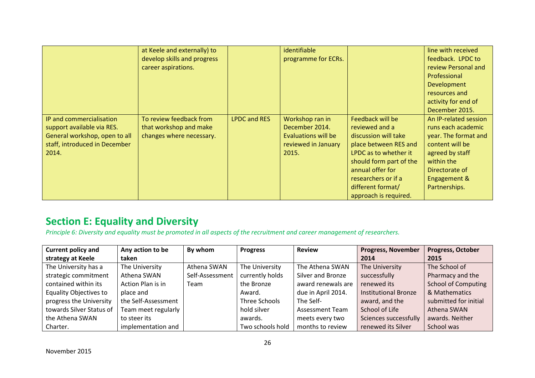|                               | at Keele and externally) to<br>develop skills and progress<br>career aspirations. |                     | identifiable<br>programme for ECRs. |                         | line with received<br>feedback. LPDC to<br>review Personal and<br>Professional |
|-------------------------------|-----------------------------------------------------------------------------------|---------------------|-------------------------------------|-------------------------|--------------------------------------------------------------------------------|
|                               |                                                                                   |                     |                                     |                         | Development<br>resources and                                                   |
|                               |                                                                                   |                     |                                     |                         | activity for end of                                                            |
|                               |                                                                                   |                     |                                     |                         | December 2015.                                                                 |
| IP and commercialisation      | To review feedback from                                                           | <b>LPDC and RES</b> | Workshop ran in                     | Feedback will be        | An IP-related session                                                          |
| support available via RES.    | that workshop and make                                                            |                     | December 2014.                      | reviewed and a          | runs each academic                                                             |
| General workshop, open to all | changes where necessary.                                                          |                     | Evaluations will be                 | discussion will take    | year. The format and                                                           |
| staff, introduced in December |                                                                                   |                     | reviewed in January                 | place between RES and   | content will be                                                                |
| 2014.                         |                                                                                   |                     | 2015.                               | LPDC as to whether it   | agreed by staff                                                                |
|                               |                                                                                   |                     |                                     | should form part of the | within the                                                                     |
|                               |                                                                                   |                     |                                     | annual offer for        | Directorate of                                                                 |
|                               |                                                                                   |                     |                                     | researchers or if a     | Engagement &                                                                   |
|                               |                                                                                   |                     |                                     | different format/       | Partnerships.                                                                  |
|                               |                                                                                   |                     |                                     | approach is required.   |                                                                                |

# **Section E: Equality and Diversity**

*Principle 6: Diversity and equality must be promoted in all aspects of the recruitment and career management of researchers.*

| <b>Current policy and</b>     | Any action to be    | By whom         | <b>Progress</b>  | <b>Review</b>          | <b>Progress, November</b> | Progress, October          |
|-------------------------------|---------------------|-----------------|------------------|------------------------|---------------------------|----------------------------|
| strategy at Keele             | taken               |                 |                  |                        | 2014                      | 2015                       |
| The University has a          | The University      | Athena SWAN     | The University   | The Athena SWAN        | The University            | The School of              |
| strategic commitment          | Athena SWAN         | Self-Assessment | currently holds  | Silver and Bronze      | successfully              | Pharmacy and the           |
| contained within its          | Action Plan is in   | Team            | the Bronze       | award renewals are     | renewed its               | <b>School of Computing</b> |
| <b>Equality Objectives to</b> | place and           |                 | Award.           | due in April 2014.     | Institutional Bronze      | & Mathematics              |
| progress the University       | the Self-Assessment |                 | Three Schools    | The Self-              | award, and the            | submitted for initial      |
| towards Silver Status of      | Team meet regularly |                 | hold silver      | <b>Assessment Team</b> | School of Life            | Athena SWAN                |
| the Athena SWAN               | to steer its        |                 | awards.          | meets every two        | Sciences successfully     | awards. Neither            |
| Charter.                      | implementation and  |                 | Two schools hold | months to review       | renewed its Silver        | School was                 |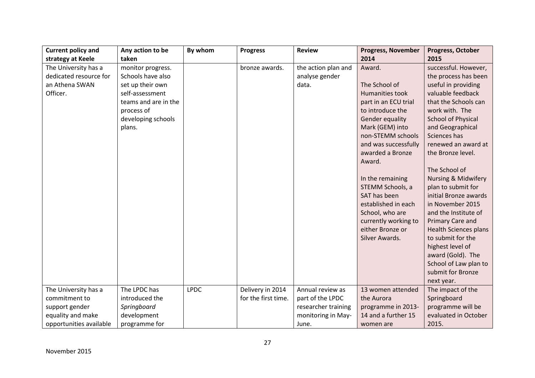| <b>Current policy and</b> | Any action to be     | By whom     | <b>Progress</b>     | <b>Review</b>       | <b>Progress, November</b> | Progress, October              |
|---------------------------|----------------------|-------------|---------------------|---------------------|---------------------------|--------------------------------|
| strategy at Keele         | taken                |             |                     |                     | 2014                      | 2015                           |
| The University has a      | monitor progress.    |             | bronze awards.      | the action plan and | Award.                    | successful. However,           |
| dedicated resource for    | Schools have also    |             |                     | analyse gender      |                           | the process has been           |
| an Athena SWAN            | set up their own     |             |                     | data.               | The School of             | useful in providing            |
| Officer.                  | self-assessment      |             |                     |                     | Humanities took           | valuable feedback              |
|                           | teams and are in the |             |                     |                     | part in an ECU trial      | that the Schools can           |
|                           | process of           |             |                     |                     | to introduce the          | work with. The                 |
|                           | developing schools   |             |                     |                     | Gender equality           | <b>School of Physical</b>      |
|                           | plans.               |             |                     |                     | Mark (GEM) into           | and Geographical               |
|                           |                      |             |                     |                     | non-STEMM schools         | Sciences has                   |
|                           |                      |             |                     |                     | and was successfully      | renewed an award at            |
|                           |                      |             |                     |                     | awarded a Bronze          | the Bronze level.              |
|                           |                      |             |                     |                     | Award.                    |                                |
|                           |                      |             |                     |                     |                           | The School of                  |
|                           |                      |             |                     |                     | In the remaining          | <b>Nursing &amp; Midwifery</b> |
|                           |                      |             |                     |                     | STEMM Schools, a          | plan to submit for             |
|                           |                      |             |                     |                     | <b>SAT has been</b>       | initial Bronze awards          |
|                           |                      |             |                     |                     | established in each       | in November 2015               |
|                           |                      |             |                     |                     | School, who are           | and the Institute of           |
|                           |                      |             |                     |                     | currently working to      | Primary Care and               |
|                           |                      |             |                     |                     | either Bronze or          | <b>Health Sciences plans</b>   |
|                           |                      |             |                     |                     | Silver Awards.            | to submit for the              |
|                           |                      |             |                     |                     |                           | highest level of               |
|                           |                      |             |                     |                     |                           | award (Gold). The              |
|                           |                      |             |                     |                     |                           | School of Law plan to          |
|                           |                      |             |                     |                     |                           | submit for Bronze              |
|                           |                      |             |                     |                     |                           | next year.                     |
| The University has a      | The LPDC has         | <b>LPDC</b> | Delivery in 2014    | Annual review as    | 13 women attended         | The impact of the              |
| commitment to             | introduced the       |             | for the first time. | part of the LPDC    | the Aurora                | Springboard                    |
| support gender            | Springboard          |             |                     | researcher training | programme in 2013-        | programme will be              |
| equality and make         | development          |             |                     | monitoring in May-  | 14 and a further 15       | evaluated in October           |
| opportunities available   | programme for        |             |                     | June.               | women are                 | 2015.                          |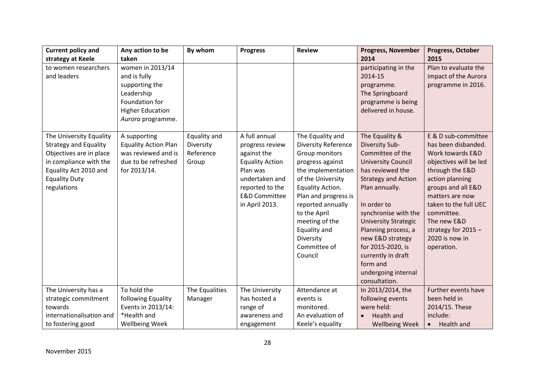| <b>Current policy and</b>                                                                                                                                                    | Any action to be                                                                                                                   | By whom                                         | <b>Progress</b>                                                                                                                                                          | <b>Review</b>                                                                                                                                                                                                                                                                              | <b>Progress, November</b>                                                                                                                                                                                                                                                                                                                                             | Progress, October                                                                                                                                                                                                                                                                    |
|------------------------------------------------------------------------------------------------------------------------------------------------------------------------------|------------------------------------------------------------------------------------------------------------------------------------|-------------------------------------------------|--------------------------------------------------------------------------------------------------------------------------------------------------------------------------|--------------------------------------------------------------------------------------------------------------------------------------------------------------------------------------------------------------------------------------------------------------------------------------------|-----------------------------------------------------------------------------------------------------------------------------------------------------------------------------------------------------------------------------------------------------------------------------------------------------------------------------------------------------------------------|--------------------------------------------------------------------------------------------------------------------------------------------------------------------------------------------------------------------------------------------------------------------------------------|
| strategy at Keele                                                                                                                                                            | taken                                                                                                                              |                                                 |                                                                                                                                                                          |                                                                                                                                                                                                                                                                                            | 2014                                                                                                                                                                                                                                                                                                                                                                  | 2015                                                                                                                                                                                                                                                                                 |
| to women researchers<br>and leaders                                                                                                                                          | women in 2013/14<br>and is fully<br>supporting the<br>Leadership<br>Foundation for<br><b>Higher Education</b><br>Aurora programme. |                                                 |                                                                                                                                                                          |                                                                                                                                                                                                                                                                                            | participating in the<br>2014-15<br>programme.<br>The Springboard<br>programme is being<br>delivered in house.                                                                                                                                                                                                                                                         | Plan to evaluate the<br>impact of the Aurora<br>programme in 2016.                                                                                                                                                                                                                   |
| The University Equality<br><b>Strategy and Equality</b><br>Objectives are in place<br>in compliance with the<br>Equality Act 2010 and<br><b>Equality Duty</b><br>regulations | A supporting<br><b>Equality Action Plan</b><br>was reviewed and is<br>due to be refreshed<br>for 2013/14.                          | Equality and<br>Diversity<br>Reference<br>Group | A full annual<br>progress review<br>against the<br><b>Equality Action</b><br>Plan was<br>undertaken and<br>reported to the<br><b>E&amp;D Committee</b><br>in April 2013. | The Equality and<br><b>Diversity Reference</b><br>Group monitors<br>progress against<br>the implementation<br>of the University<br>Equality Action.<br>Plan and progress is<br>reported annually<br>to the April<br>meeting of the<br>Equality and<br>Diversity<br>Committee of<br>Council | The Equality &<br>Diversity Sub-<br>Committee of the<br><b>University Council</b><br>has reviewed the<br><b>Strategy and Action</b><br>Plan annually.<br>In order to<br>synchronise with the<br><b>University Strategic</b><br>Planning process, a<br>new E&D strategy<br>for 2015-2020, is<br>currently in draft<br>form and<br>undergoing internal<br>consultation. | E & D sub-committee<br>has been disbanded.<br>Work towards E&D<br>objectives will be led<br>through the E&D<br>action planning<br>groups and all E&D<br>matters are now<br>taken to the full UEC<br>committee.<br>The new E&D<br>strategy for 2015 -<br>2020 is now in<br>operation. |
| The University has a                                                                                                                                                         | To hold the                                                                                                                        | The Equalities                                  | The University                                                                                                                                                           | Attendance at                                                                                                                                                                                                                                                                              | In 2013/2014, the                                                                                                                                                                                                                                                                                                                                                     | Further events have                                                                                                                                                                                                                                                                  |
| strategic commitment                                                                                                                                                         | following Equality                                                                                                                 | Manager                                         | has hosted a                                                                                                                                                             | events is                                                                                                                                                                                                                                                                                  | following events                                                                                                                                                                                                                                                                                                                                                      | been held in                                                                                                                                                                                                                                                                         |
| towards                                                                                                                                                                      | Events in 2013/14:                                                                                                                 |                                                 | range of                                                                                                                                                                 | monitored.                                                                                                                                                                                                                                                                                 | were held:                                                                                                                                                                                                                                                                                                                                                            | 2014/15. These                                                                                                                                                                                                                                                                       |
| internationalisation and                                                                                                                                                     | *Health and                                                                                                                        |                                                 | awareness and                                                                                                                                                            | An evaluation of                                                                                                                                                                                                                                                                           | Health and                                                                                                                                                                                                                                                                                                                                                            | include:                                                                                                                                                                                                                                                                             |
| to fostering good                                                                                                                                                            | Wellbeing Week                                                                                                                     |                                                 | engagement                                                                                                                                                               | Keele's equality                                                                                                                                                                                                                                                                           | <b>Wellbeing Week</b>                                                                                                                                                                                                                                                                                                                                                 | • Health and                                                                                                                                                                                                                                                                         |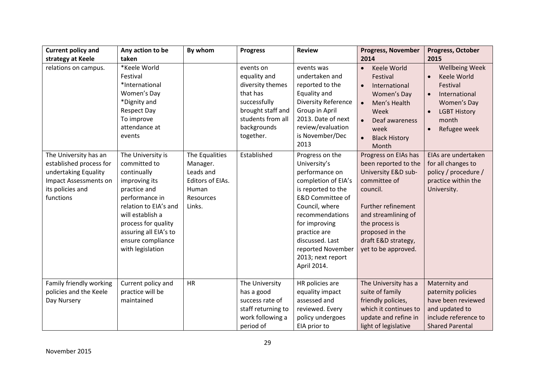| <b>Current policy and</b>                                                                                                                                  | Any action to be                                                                                                                                                                                                                                                                                                                             | By whom                                                                                     | <b>Progress</b>                                                                                                                                                | <b>Review</b>                                                                                                                                                                                                                                                                                                                                                                                | <b>Progress, November</b>                                                                                                                                                                                                                                                                                                                                                                  | Progress, October                                                                                                                                                                                                                                                                                      |
|------------------------------------------------------------------------------------------------------------------------------------------------------------|----------------------------------------------------------------------------------------------------------------------------------------------------------------------------------------------------------------------------------------------------------------------------------------------------------------------------------------------|---------------------------------------------------------------------------------------------|----------------------------------------------------------------------------------------------------------------------------------------------------------------|----------------------------------------------------------------------------------------------------------------------------------------------------------------------------------------------------------------------------------------------------------------------------------------------------------------------------------------------------------------------------------------------|--------------------------------------------------------------------------------------------------------------------------------------------------------------------------------------------------------------------------------------------------------------------------------------------------------------------------------------------------------------------------------------------|--------------------------------------------------------------------------------------------------------------------------------------------------------------------------------------------------------------------------------------------------------------------------------------------------------|
| strategy at Keele                                                                                                                                          | taken                                                                                                                                                                                                                                                                                                                                        |                                                                                             |                                                                                                                                                                |                                                                                                                                                                                                                                                                                                                                                                                              | 2014                                                                                                                                                                                                                                                                                                                                                                                       | 2015                                                                                                                                                                                                                                                                                                   |
| relations on campus.<br>The University has an<br>established process for<br>undertaking Equality<br>Impact Assessments on<br>its policies and<br>functions | *Keele World<br>Festival<br>*International<br>Women's Day<br>*Dignity and<br><b>Respect Day</b><br>To improve<br>attendance at<br>events<br>The University is<br>committed to<br>continually<br>improving its<br>practice and<br>performance in<br>relation to EIA's and<br>will establish a<br>process for quality<br>assuring all EIA's to | The Equalities<br>Manager.<br>Leads and<br>Editors of EIAs.<br>Human<br>Resources<br>Links. | events on<br>equality and<br>diversity themes<br>that has<br>successfully<br>brought staff and<br>students from all<br>backgrounds<br>together.<br>Established | events was<br>undertaken and<br>reported to the<br>Equality and<br><b>Diversity Reference</b><br>Group in April<br>2013. Date of next<br>review/evaluation<br>is November/Dec<br>2013<br>Progress on the<br>University's<br>performance on<br>completion of EIA's<br>is reported to the<br><b>E&amp;D Committee of</b><br>Council, where<br>recommendations<br>for improving<br>practice are | Keele World<br>$\bullet$<br>Festival<br>International<br>$\bullet$<br>Women's Day<br>Men's Health<br>$\bullet$<br>Week<br>$\bullet$<br>Deaf awareness<br>week<br><b>Black History</b><br>Month<br>Progress on EIAs has<br>been reported to the<br>University E&D sub-<br>committee of<br>council.<br><b>Further refinement</b><br>and streamlining of<br>the process is<br>proposed in the | <b>Wellbeing Week</b><br><b>Keele World</b><br>$\bullet$<br>Festival<br>International<br>$\bullet$<br>Women's Day<br><b>LGBT History</b><br>$\bullet$<br>month<br>Refugee week<br>$\bullet$<br>EIAs are undertaken<br>for all changes to<br>policy / procedure /<br>practice within the<br>University. |
|                                                                                                                                                            | ensure compliance<br>with legislation                                                                                                                                                                                                                                                                                                        |                                                                                             |                                                                                                                                                                | discussed. Last<br>reported November<br>2013; next report<br>April 2014.                                                                                                                                                                                                                                                                                                                     | draft E&D strategy,<br>yet to be approved.                                                                                                                                                                                                                                                                                                                                                 |                                                                                                                                                                                                                                                                                                        |
| Family friendly working<br>policies and the Keele<br>Day Nursery                                                                                           | Current policy and<br>practice will be<br>maintained                                                                                                                                                                                                                                                                                         | <b>HR</b>                                                                                   | The University<br>has a good<br>success rate of<br>staff returning to<br>work following a<br>period of                                                         | HR policies are<br>equality impact<br>assessed and<br>reviewed. Every<br>policy undergoes<br>EIA prior to                                                                                                                                                                                                                                                                                    | The University has a<br>suite of family<br>friendly policies,<br>which it continues to<br>update and refine in<br>light of legislative                                                                                                                                                                                                                                                     | Maternity and<br>paternity policies<br>have been reviewed<br>and updated to<br>include reference to<br><b>Shared Parental</b>                                                                                                                                                                          |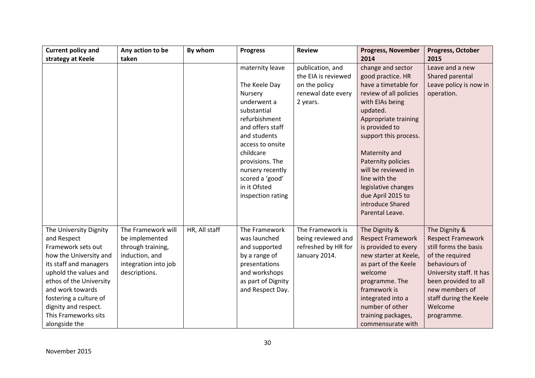| <b>Current policy and</b> | Any action to be     | By whom       | <b>Progress</b>    | <b>Review</b>       | <b>Progress, November</b> | Progress, October        |
|---------------------------|----------------------|---------------|--------------------|---------------------|---------------------------|--------------------------|
| strategy at Keele         | taken                |               |                    |                     | 2014                      | 2015                     |
|                           |                      |               | maternity leave    | publication, and    | change and sector         | Leave and a new          |
|                           |                      |               |                    | the EIA is reviewed | good practice. HR         | Shared parental          |
|                           |                      |               | The Keele Day      | on the policy       | have a timetable for      | Leave policy is now in   |
|                           |                      |               | Nursery            | renewal date every  | review of all policies    | operation.               |
|                           |                      |               | underwent a        | 2 years.            | with EIAs being           |                          |
|                           |                      |               | substantial        |                     | updated.                  |                          |
|                           |                      |               | refurbishment      |                     | Appropriate training      |                          |
|                           |                      |               | and offers staff   |                     | is provided to            |                          |
|                           |                      |               | and students       |                     | support this process.     |                          |
|                           |                      |               | access to onsite   |                     |                           |                          |
|                           |                      |               | childcare          |                     | Maternity and             |                          |
|                           |                      |               | provisions. The    |                     | Paternity policies        |                          |
|                           |                      |               | nursery recently   |                     | will be reviewed in       |                          |
|                           |                      |               | scored a 'good'    |                     | line with the             |                          |
|                           |                      |               | in it Ofsted       |                     | legislative changes       |                          |
|                           |                      |               | inspection rating  |                     | due April 2015 to         |                          |
|                           |                      |               |                    |                     | introduce Shared          |                          |
|                           |                      |               |                    |                     | Parental Leave.           |                          |
| The University Dignity    | The Framework will   | HR, All staff | The Framework      | The Framework is    | The Dignity &             | The Dignity &            |
| and Respect               | be implemented       |               | was launched       | being reviewed and  | <b>Respect Framework</b>  | <b>Respect Framework</b> |
| Framework sets out        | through training,    |               | and supported      | refreshed by HR for | is provided to every      | still forms the basis    |
| how the University and    | induction, and       |               | by a range of      | January 2014.       | new starter at Keele,     | of the required          |
| its staff and managers    | integration into job |               | presentations      |                     | as part of the Keele      | behaviours of            |
| uphold the values and     | descriptions.        |               | and workshops      |                     | welcome                   | University staff. It has |
| ethos of the University   |                      |               | as part of Dignity |                     | programme. The            | been provided to all     |
| and work towards          |                      |               | and Respect Day.   |                     | framework is              | new members of           |
| fostering a culture of    |                      |               |                    |                     | integrated into a         | staff during the Keele   |
| dignity and respect.      |                      |               |                    |                     | number of other           | Welcome                  |
| This Frameworks sits      |                      |               |                    |                     | training packages,        | programme.               |
| alongside the             |                      |               |                    |                     | commensurate with         |                          |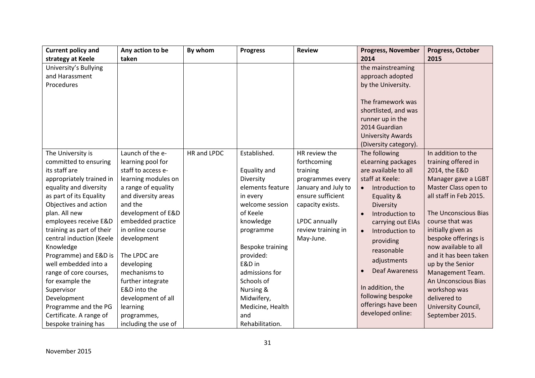| <b>Current policy and</b> | Any action to be     | By whom     | <b>Progress</b>         | <b>Review</b>       | <b>Progress, November</b>    | Progress, October      |
|---------------------------|----------------------|-------------|-------------------------|---------------------|------------------------------|------------------------|
| strategy at Keele         | taken                |             |                         |                     | 2014                         | 2015                   |
| University's Bullying     |                      |             |                         |                     | the mainstreaming            |                        |
| and Harassment            |                      |             |                         |                     | approach adopted             |                        |
| Procedures                |                      |             |                         |                     | by the University.           |                        |
|                           |                      |             |                         |                     |                              |                        |
|                           |                      |             |                         |                     | The framework was            |                        |
|                           |                      |             |                         |                     | shortlisted, and was         |                        |
|                           |                      |             |                         |                     | runner up in the             |                        |
|                           |                      |             |                         |                     | 2014 Guardian                |                        |
|                           |                      |             |                         |                     | <b>University Awards</b>     |                        |
|                           |                      |             |                         |                     | (Diversity category).        |                        |
| The University is         | Launch of the e-     | HR and LPDC | Established.            | HR review the       | The following                | In addition to the     |
| committed to ensuring     | learning pool for    |             |                         | forthcoming         | eLearning packages           | training offered in    |
| its staff are             | staff to access e-   |             | Equality and            | training            | are available to all         | 2014, the E&D          |
| appropriately trained in  | learning modules on  |             | Diversity               | programmes every    | staff at Keele:              | Manager gave a LGBT    |
| equality and diversity    | a range of equality  |             | elements feature        | January and July to | Introduction to<br>$\bullet$ | Master Class open to   |
| as part of its Equality   | and diversity areas  |             | in every                | ensure sufficient   | Equality &                   | all staff in Feb 2015. |
| Objectives and action     | and the              |             | welcome session         | capacity exists.    | Diversity                    |                        |
| plan. All new             | development of E&D   |             | of Keele                |                     | Introduction to<br>$\bullet$ | The Unconscious Bias   |
| employees receive E&D     | embedded practice    |             | knowledge               | LPDC annually       | carrying out EIAs            | course that was        |
| training as part of their | in online course     |             | programme               | review training in  | Introduction to<br>$\bullet$ | initially given as     |
| central induction (Keele  | development          |             |                         | May-June.           | providing                    | bespoke offerings is   |
| Knowledge                 |                      |             | <b>Bespoke training</b> |                     | reasonable                   | now available to all   |
| Programme) and E&D is     | The LPDC are         |             | provided:               |                     | adjustments                  | and it has been taken  |
| well embedded into a      | developing           |             | E&D in                  |                     |                              | up by the Senior       |
| range of core courses,    | mechanisms to        |             | admissions for          |                     | <b>Deaf Awareness</b>        | Management Team.       |
| for example the           | further integrate    |             | Schools of              |                     |                              | An Unconscious Bias    |
| Supervisor                | E&D into the         |             | Nursing &               |                     | In addition, the             | workshop was           |
| Development               | development of all   |             | Midwifery,              |                     | following bespoke            | delivered to           |
| Programme and the PG      | learning             |             | Medicine, Health        |                     | offerings have been          | University Council,    |
| Certificate. A range of   | programmes,          |             | and                     |                     | developed online:            | September 2015.        |
| bespoke training has      | including the use of |             | Rehabilitation.         |                     |                              |                        |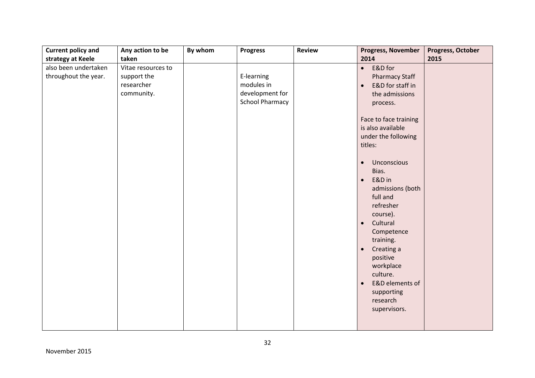| <b>Current policy and</b>                    | Any action to be                                              | By whom | <b>Progress</b>                                                       | <b>Review</b> | <b>Progress, November</b>                                                                                                                                                                                                                                                                                                                                                                                                                                                                                              | Progress, October |
|----------------------------------------------|---------------------------------------------------------------|---------|-----------------------------------------------------------------------|---------------|------------------------------------------------------------------------------------------------------------------------------------------------------------------------------------------------------------------------------------------------------------------------------------------------------------------------------------------------------------------------------------------------------------------------------------------------------------------------------------------------------------------------|-------------------|
| strategy at Keele                            | taken                                                         |         |                                                                       |               | 2014                                                                                                                                                                                                                                                                                                                                                                                                                                                                                                                   | 2015              |
| also been undertaken<br>throughout the year. | Vitae resources to<br>support the<br>researcher<br>community. |         | E-learning<br>modules in<br>development for<br><b>School Pharmacy</b> |               | $\bullet$<br>E&D for<br><b>Pharmacy Staff</b><br>E&D for staff in<br>$\bullet$<br>the admissions<br>process.<br>Face to face training<br>is also available<br>under the following<br>titles:<br><b>Unconscious</b><br>$\bullet$<br>Bias.<br>E&D in<br>$\bullet$<br>admissions (both<br>full and<br>refresher<br>course).<br>Cultural<br>$\bullet$<br>Competence<br>training.<br>Creating a<br>$\bullet$<br>positive<br>workplace<br>culture.<br>E&D elements of<br>$\bullet$<br>supporting<br>research<br>supervisors. |                   |
|                                              |                                                               |         |                                                                       |               |                                                                                                                                                                                                                                                                                                                                                                                                                                                                                                                        |                   |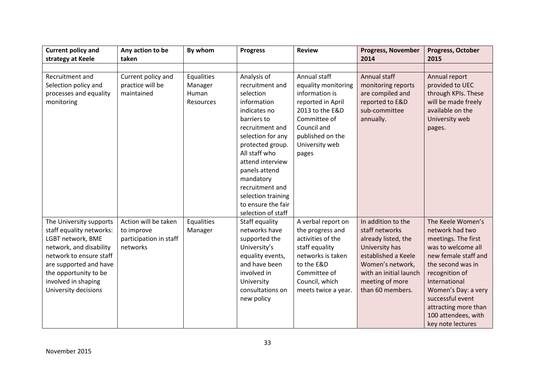| <b>Current policy and</b> | Any action to be       | By whom    | <b>Progress</b>              | <b>Review</b>       | <b>Progress, November</b> | Progress, October    |
|---------------------------|------------------------|------------|------------------------------|---------------------|---------------------------|----------------------|
| strategy at Keele         | taken                  |            |                              |                     | 2014                      | 2015                 |
|                           |                        |            |                              |                     |                           |                      |
| Recruitment and           | Current policy and     | Equalities | Analysis of                  | Annual staff        | Annual staff              | Annual report        |
| Selection policy and      | practice will be       | Manager    | recruitment and              | equality monitoring | monitoring reports        | provided to UEC      |
| processes and equality    | maintained             | Human      | selection                    | information is      | are compiled and          | through KPIs. These  |
| monitoring                |                        | Resources  | information                  | reported in April   | reported to E&D           | will be made freely  |
|                           |                        |            | indicates no                 | 2013 to the E&D     | sub-committee             | available on the     |
|                           |                        |            | barriers to                  | Committee of        | annually.                 | University web       |
|                           |                        |            | recruitment and              | Council and         |                           | pages.               |
|                           |                        |            | selection for any            | published on the    |                           |                      |
|                           |                        |            | protected group.             | University web      |                           |                      |
|                           |                        |            | All staff who                | pages               |                           |                      |
|                           |                        |            | attend interview             |                     |                           |                      |
|                           |                        |            | panels attend                |                     |                           |                      |
|                           |                        |            | mandatory<br>recruitment and |                     |                           |                      |
|                           |                        |            | selection training           |                     |                           |                      |
|                           |                        |            | to ensure the fair           |                     |                           |                      |
|                           |                        |            | selection of staff           |                     |                           |                      |
| The University supports   | Action will be taken   | Equalities | Staff equality               | A verbal report on  | In addition to the        | The Keele Women's    |
| staff equality networks:  | to improve             | Manager    | networks have                | the progress and    | staff networks            | network had two      |
| LGBT network, BME         | participation in staff |            | supported the                | activities of the   | already listed, the       | meetings. The first  |
| network, and disability   | networks               |            | University's                 | staff equality      | University has            | was to welcome all   |
| network to ensure staff   |                        |            | equality events,             | networks is taken   | established a Keele       | new female staff and |
| are supported and have    |                        |            | and have been                | to the E&D          | Women's network,          | the second was in    |
| the opportunity to be     |                        |            | involved in                  | Committee of        | with an initial launch    | recognition of       |
| involved in shaping       |                        |            | University                   | Council, which      | meeting of more           | International        |
| University decisions      |                        |            | consultations on             | meets twice a year. | than 60 members.          | Women's Day: a very  |
|                           |                        |            | new policy                   |                     |                           | successful event     |
|                           |                        |            |                              |                     |                           | attracting more than |
|                           |                        |            |                              |                     |                           | 100 attendees, with  |
|                           |                        |            |                              |                     |                           | key note lectures    |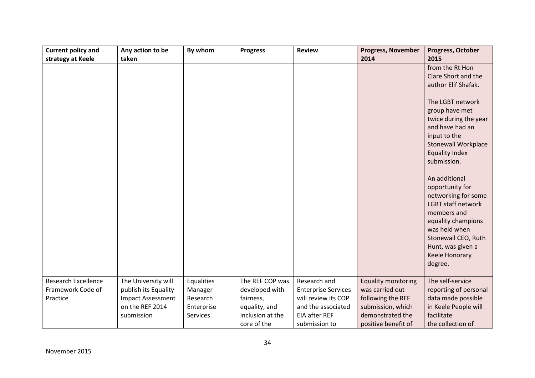| <b>Current policy and</b>  | Any action to be         | By whom    | <b>Progress</b>  | <b>Review</b>              | <b>Progress, November</b>  | Progress, October          |
|----------------------------|--------------------------|------------|------------------|----------------------------|----------------------------|----------------------------|
| strategy at Keele          | taken                    |            |                  |                            | 2014                       | 2015                       |
|                            |                          |            |                  |                            |                            | from the Rt Hon            |
|                            |                          |            |                  |                            |                            | Clare Short and the        |
|                            |                          |            |                  |                            |                            | author Elif Shafak.        |
|                            |                          |            |                  |                            |                            |                            |
|                            |                          |            |                  |                            |                            | The LGBT network           |
|                            |                          |            |                  |                            |                            | group have met             |
|                            |                          |            |                  |                            |                            | twice during the year      |
|                            |                          |            |                  |                            |                            | and have had an            |
|                            |                          |            |                  |                            |                            | input to the               |
|                            |                          |            |                  |                            |                            | <b>Stonewall Workplace</b> |
|                            |                          |            |                  |                            |                            | <b>Equality Index</b>      |
|                            |                          |            |                  |                            |                            | submission.                |
|                            |                          |            |                  |                            |                            | An additional              |
|                            |                          |            |                  |                            |                            | opportunity for            |
|                            |                          |            |                  |                            |                            | networking for some        |
|                            |                          |            |                  |                            |                            | <b>LGBT staff network</b>  |
|                            |                          |            |                  |                            |                            | members and                |
|                            |                          |            |                  |                            |                            | equality champions         |
|                            |                          |            |                  |                            |                            | was held when              |
|                            |                          |            |                  |                            |                            | Stonewall CEO, Ruth        |
|                            |                          |            |                  |                            |                            | Hunt, was given a          |
|                            |                          |            |                  |                            |                            | <b>Keele Honorary</b>      |
|                            |                          |            |                  |                            |                            | degree.                    |
|                            |                          |            |                  |                            |                            |                            |
| <b>Research Excellence</b> | The University will      | Equalities | The REF COP was  | Research and               | <b>Equality monitoring</b> | The self-service           |
| Framework Code of          | publish its Equality     | Manager    | developed with   | <b>Enterprise Services</b> | was carried out            | reporting of personal      |
| Practice                   | <b>Impact Assessment</b> | Research   | fairness,        | will review its COP        | following the REF          | data made possible         |
|                            | on the REF 2014          | Enterprise | equality, and    | and the associated         | submission, which          | in Keele People will       |
|                            | submission               | Services   | inclusion at the | EIA after REF              | demonstrated the           | facilitate                 |
|                            |                          |            | core of the      | submission to              | positive benefit of        | the collection of          |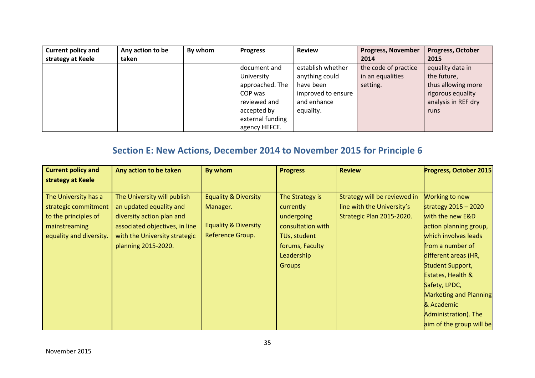| <b>Current policy and</b> | Any action to be | By whom | <b>Progress</b>  | <b>Review</b>      | <b>Progress, November</b> | <b>Progress, October</b> |
|---------------------------|------------------|---------|------------------|--------------------|---------------------------|--------------------------|
| strategy at Keele         | taken            |         |                  |                    | 2014                      | 2015                     |
|                           |                  |         | document and     | establish whether  | the code of practice      | equality data in         |
|                           |                  |         | University       | anything could     | in an equalities          | the future,              |
|                           |                  |         | approached. The  | have been          | setting.                  | thus allowing more       |
|                           |                  |         | COP was          | improved to ensure |                           | rigorous equality        |
|                           |                  |         | reviewed and     | and enhance        |                           | analysis in REF dry      |
|                           |                  |         | accepted by      | equality.          |                           | runs                     |
|                           |                  |         | external funding |                    |                           |                          |
|                           |                  |         | agency HEFCE.    |                    |                           |                          |

# **Section E: New Actions, December 2014 to November 2015 for Principle 6**

|                                                                                                                                                                                                                                                                                                                                                                                                         |                                                                                                                                   |                                                                                         | Progress, October 2015                                                                                                                                                                                                                                                                                                             |
|---------------------------------------------------------------------------------------------------------------------------------------------------------------------------------------------------------------------------------------------------------------------------------------------------------------------------------------------------------------------------------------------------------|-----------------------------------------------------------------------------------------------------------------------------------|-----------------------------------------------------------------------------------------|------------------------------------------------------------------------------------------------------------------------------------------------------------------------------------------------------------------------------------------------------------------------------------------------------------------------------------|
| strategy at Keele                                                                                                                                                                                                                                                                                                                                                                                       |                                                                                                                                   |                                                                                         |                                                                                                                                                                                                                                                                                                                                    |
| The University will publish<br>The University has a<br><b>Equality &amp; Diversity</b><br>an updated equality and<br>strategic commitment<br>Manager.<br>to the principles of<br>diversity action plan and<br><b>Equality &amp; Diversity</b><br>associated objectives, in line<br>mainstreaming<br>Reference Group.<br>with the University strategic<br>equality and diversity.<br>planning 2015-2020. | The Strategy is<br>currently<br>undergoing<br>consultation with<br>TUs, student<br>forums, Faculty<br>Leadership<br><b>Groups</b> | Strategy will be reviewed in<br>line with the University's<br>Strategic Plan 2015-2020. | <b>Working to new</b><br>strategy $2015 - 2020$<br>with the new E&D<br>action planning group,<br>which involves leads<br>from a number of<br>different areas (HR,<br>Student Support,<br><b>Estates, Health &amp;</b><br>Safety, LPDC,<br>Marketing and Planning<br>& Academic<br>Administration). The<br>aim of the group will be |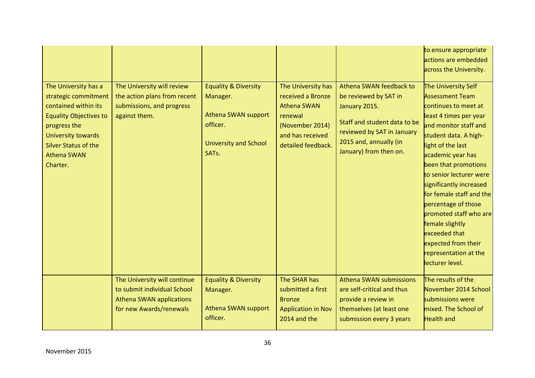|                                                          |                                 |                                 |                           |                                | to ensure appropriate    |
|----------------------------------------------------------|---------------------------------|---------------------------------|---------------------------|--------------------------------|--------------------------|
|                                                          |                                 |                                 |                           |                                | actions are embedded     |
|                                                          |                                 |                                 |                           |                                | across the University.   |
| The University has a                                     | The University will review      | <b>Equality &amp; Diversity</b> | The University has        | Athena SWAN feedback to        | The University Self      |
| strategic commitment                                     | the action plans from recent    | Manager.                        | received a Bronze         | be reviewed by SAT in          | <b>Assessment Team</b>   |
| contained within its                                     | submissions, and progress       |                                 | <b>Athena SWAN</b>        | January 2015.                  | continues to meet at     |
| <b>Equality Objectives to</b>                            | against them.                   | Athena SWAN support             | renewal                   |                                | least 4 times per year   |
|                                                          |                                 | officer.                        | (November 2014)           | Staff and student data to be   | and monitor staff and    |
| progress the                                             |                                 |                                 | and has received          | reviewed by SAT in January     |                          |
| <b>University towards</b><br><b>Silver Status of the</b> |                                 | <b>University and School</b>    | detailed feedback.        | 2015 and, annually (in         | student data. A high-    |
| <b>Athena SWAN</b>                                       |                                 | SAT <sub>s</sub> .              |                           | January) from then on.         | light of the last        |
|                                                          |                                 |                                 |                           |                                | academic year has        |
| Charter.                                                 |                                 |                                 |                           |                                | been that promotions     |
|                                                          |                                 |                                 |                           |                                | to senior lecturer were  |
|                                                          |                                 |                                 |                           |                                | significantly increased  |
|                                                          |                                 |                                 |                           |                                | for female staff and the |
|                                                          |                                 |                                 |                           |                                | percentage of those      |
|                                                          |                                 |                                 |                           |                                | promoted staff who are   |
|                                                          |                                 |                                 |                           |                                | female slightly          |
|                                                          |                                 |                                 |                           |                                | exceeded that            |
|                                                          |                                 |                                 |                           |                                | expected from their      |
|                                                          |                                 |                                 |                           |                                | representation at the    |
|                                                          |                                 |                                 |                           |                                | lecturer level.          |
|                                                          | The University will continue    | <b>Equality &amp; Diversity</b> | The SHAR has              | <b>Athena SWAN submissions</b> | The results of the       |
|                                                          | to submit individual School     | Manager.                        | submitted a first         | are self-critical and thus     | November 2014 School     |
|                                                          | <b>Athena SWAN applications</b> |                                 | <b>Bronze</b>             | provide a review in            | submissions were         |
|                                                          | for new Awards/renewals         | <b>Athena SWAN support</b>      | <b>Application in Nov</b> | themselves (at least one       | mixed. The School of     |
|                                                          |                                 | officer.                        | 2014 and the              | submission every 3 years       | <b>Health and</b>        |
|                                                          |                                 |                                 |                           |                                |                          |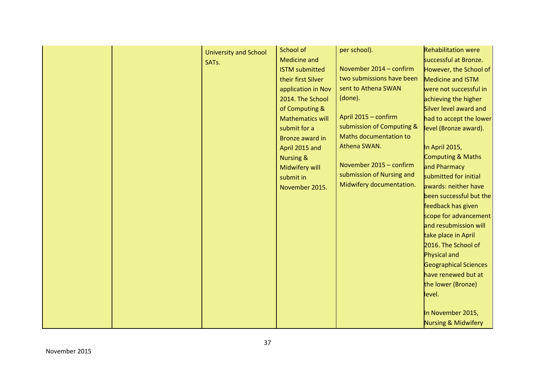|  | <b>University and School</b> | School of               | per school).              | <b>Rehabilitation were</b>     |
|--|------------------------------|-------------------------|---------------------------|--------------------------------|
|  | SATs.                        | <b>Medicine and</b>     |                           | successful at Bronze.          |
|  |                              | <b>ISTM submitted</b>   | November 2014 - confirm   | However, the School of         |
|  |                              | their first Silver      | two submissions have been | <b>Medicine and ISTM</b>       |
|  |                              | application in Nov      | sent to Athena SWAN       | were not successful in         |
|  |                              | 2014. The School        | (done).                   | achieving the higher           |
|  |                              | of Computing &          |                           | Silver level award and         |
|  |                              | <b>Mathematics will</b> | April 2015 - confirm      | had to accept the lower        |
|  |                              | submit for a            | submission of Computing & | level (Bronze award).          |
|  |                              | Bronze award in         | Maths documentation to    |                                |
|  |                              | April 2015 and          | Athena SWAN.              | In April 2015,                 |
|  |                              | <b>Nursing &amp;</b>    |                           | <b>Computing &amp; Maths</b>   |
|  |                              | Midwifery will          | November 2015 - confirm   | and Pharmacy                   |
|  |                              | submit in               | submission of Nursing and | submitted for initial          |
|  |                              | November 2015.          | Midwifery documentation.  | awards: neither have           |
|  |                              |                         |                           | been successful but the        |
|  |                              |                         |                           | feedback has given             |
|  |                              |                         |                           | scope for advancement          |
|  |                              |                         |                           | and resubmission will          |
|  |                              |                         |                           | take place in April            |
|  |                              |                         |                           | 2016. The School of            |
|  |                              |                         |                           | Physical and                   |
|  |                              |                         |                           | <b>Geographical Sciences</b>   |
|  |                              |                         |                           | have renewed but at            |
|  |                              |                         |                           | the lower (Bronze)             |
|  |                              |                         |                           | level.                         |
|  |                              |                         |                           |                                |
|  |                              |                         |                           | In November 2015,              |
|  |                              |                         |                           | <b>Nursing &amp; Midwifery</b> |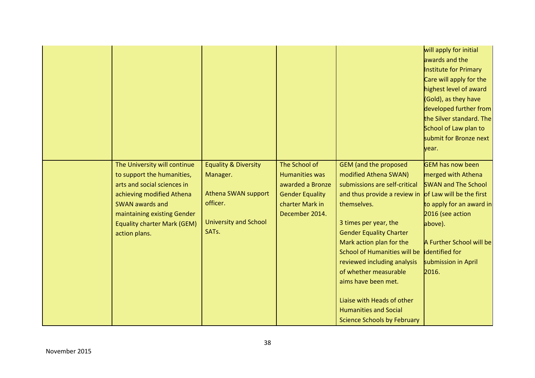|                                                                                                                                                                                                                                 |                                                                                                                         |                                                                                                                           |                                                                                                                                                                                                                                                                                                                                                                                                                                                                                         | will apply for initial<br>awards and the<br><b>Institute for Primary</b><br>Care will apply for the<br>highest level of award<br>(Gold), as they have<br>developed further from<br>the Silver standard. The<br>School of Law plan to<br>submit for Bronze next<br>year. |
|---------------------------------------------------------------------------------------------------------------------------------------------------------------------------------------------------------------------------------|-------------------------------------------------------------------------------------------------------------------------|---------------------------------------------------------------------------------------------------------------------------|-----------------------------------------------------------------------------------------------------------------------------------------------------------------------------------------------------------------------------------------------------------------------------------------------------------------------------------------------------------------------------------------------------------------------------------------------------------------------------------------|-------------------------------------------------------------------------------------------------------------------------------------------------------------------------------------------------------------------------------------------------------------------------|
| The University will continue<br>to support the humanities,<br>arts and social sciences in<br>achieving modified Athena<br>SWAN awards and<br>maintaining existing Gender<br><b>Equality charter Mark (GEM)</b><br>action plans. | <b>Equality &amp; Diversity</b><br>Manager.<br>Athena SWAN support<br>officer.<br><b>University and School</b><br>SATs. | The School of<br><b>Humanities was</b><br>awarded a Bronze<br><b>Gender Equality</b><br>charter Mark in<br>December 2014. | <b>GEM</b> (and the proposed<br>modified Athena SWAN)<br>submissions are self-critical<br>and thus provide a review in $\vert$ of Law will be the first<br>themselves.<br>3 times per year, the<br><b>Gender Equality Charter</b><br>Mark action plan for the<br><b>School of Humanities will be</b><br>reviewed including analysis<br>of whether measurable<br>aims have been met.<br>Liaise with Heads of other<br><b>Humanities and Social</b><br><b>Science Schools by February</b> | <b>GEM has now been</b><br>merged with Athena<br><b>SWAN and The School</b><br>to apply for an award in<br>2016 (see action<br>above).<br>A Further School will be<br>identified for<br>submission in April<br>2016.                                                    |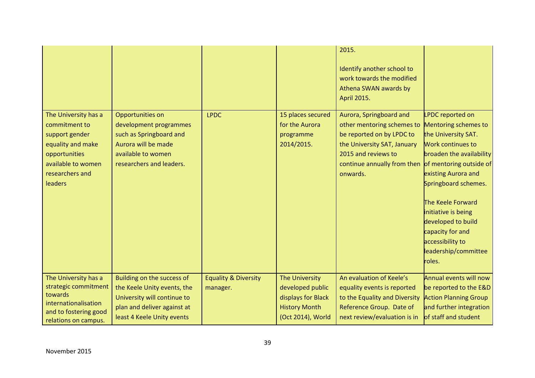|                                                                                                                                                          |                                                                                                                                                       |                                             |                                                                                                              | 2015.<br>Identify another school to<br>work towards the modified<br>Athena SWAN awards by<br>April 2015.                                                                                                    |                                                                                                                                                                                                                                                                                                                                  |
|----------------------------------------------------------------------------------------------------------------------------------------------------------|-------------------------------------------------------------------------------------------------------------------------------------------------------|---------------------------------------------|--------------------------------------------------------------------------------------------------------------|-------------------------------------------------------------------------------------------------------------------------------------------------------------------------------------------------------------|----------------------------------------------------------------------------------------------------------------------------------------------------------------------------------------------------------------------------------------------------------------------------------------------------------------------------------|
| The University has a<br>commitment to<br>support gender<br>equality and make<br>opportunities<br>available to women<br>researchers and<br><b>leaders</b> | Opportunities on<br>development programmes<br>such as Springboard and<br>Aurora will be made<br>available to women<br>researchers and leaders.        | <b>LPDC</b>                                 | 15 places secured<br>for the Aurora<br>programme<br>2014/2015.                                               | Aurora, Springboard and<br>other mentoring schemes to<br>be reported on by LPDC to<br>the University SAT, January<br>2015 and reviews to<br>continue annually from then of mentoring outside of<br>onwards. | <b>LPDC</b> reported on<br><b>Mentoring schemes to</b><br>the University SAT.<br><b>Work continues to</b><br>broaden the availability<br>existing Aurora and<br>Springboard schemes.<br>The Keele Forward<br>initiative is being<br>developed to build<br>capacity for and<br>accessibility to<br>leadership/committee<br>roles. |
| The University has a<br>strategic commitment<br>towards<br>internationalisation<br>and to fostering good<br>relations on campus.                         | Building on the success of<br>the Keele Unity events, the<br>University will continue to<br>plan and deliver against at<br>least 4 Keele Unity events | <b>Equality &amp; Diversity</b><br>manager. | <b>The University</b><br>developed public<br>displays for Black<br><b>History Month</b><br>(Oct 2014), World | An evaluation of Keele's<br>equality events is reported<br>to the Equality and Diversity<br>Reference Group. Date of<br>next review/evaluation is in                                                        | Annual events will now<br>be reported to the E&D<br><b>Action Planning Group</b><br>and further integration<br>of staff and student                                                                                                                                                                                              |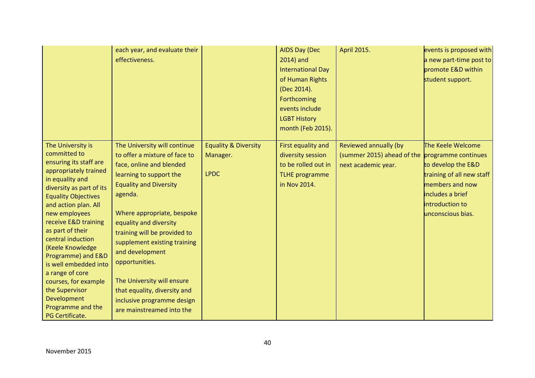|                                                                                                                                                                                                                                                                                                                                                                                                                                                                    | each year, and evaluate their<br>effectiveness.                                                                                                                                                                                                                                                                                                                                                                                                        |                                                            | <b>AIDS Day (Dec</b><br>2014) and<br><b>International Day</b><br>of Human Rights<br>(Dec 2014).<br>Forthcoming<br>events include<br><b>LGBT History</b><br>month (Feb 2015). | April 2015.                                                                | events is proposed with<br>a new part-time post to<br>promote E&D within<br>student support.                                                                               |
|--------------------------------------------------------------------------------------------------------------------------------------------------------------------------------------------------------------------------------------------------------------------------------------------------------------------------------------------------------------------------------------------------------------------------------------------------------------------|--------------------------------------------------------------------------------------------------------------------------------------------------------------------------------------------------------------------------------------------------------------------------------------------------------------------------------------------------------------------------------------------------------------------------------------------------------|------------------------------------------------------------|------------------------------------------------------------------------------------------------------------------------------------------------------------------------------|----------------------------------------------------------------------------|----------------------------------------------------------------------------------------------------------------------------------------------------------------------------|
| The University is<br>committed to<br>ensuring its staff are<br>appropriately trained<br>in equality and<br>diversity as part of its<br><b>Equality Objectives</b><br>and action plan. All<br>new employees<br>receive E&D training<br>as part of their<br>central induction<br>(Keele Knowledge<br>Programme) and E&D<br>is well embedded into<br>a range of core<br>courses, for example<br>the Supervisor<br>Development<br>Programme and the<br>PG Certificate. | The University will continue<br>to offer a mixture of face to<br>face, online and blended<br>learning to support the<br><b>Equality and Diversity</b><br>agenda.<br>Where appropriate, bespoke<br>equality and diversity<br>training will be provided to<br>supplement existing training<br>and development<br>opportunities.<br>The University will ensure<br>that equality, diversity and<br>inclusive programme design<br>are mainstreamed into the | <b>Equality &amp; Diversity</b><br>Manager.<br><b>LPDC</b> | First equality and<br>diversity session<br>to be rolled out in<br><b>TLHE programme</b><br>in Nov 2014.                                                                      | Reviewed annually (by<br>(summer 2015) ahead of the<br>next academic year. | The Keele Welcome<br>programme continues<br>to develop the E&D<br>training of all new staff<br>members and now<br>includes a brief<br>introduction to<br>unconscious bias. |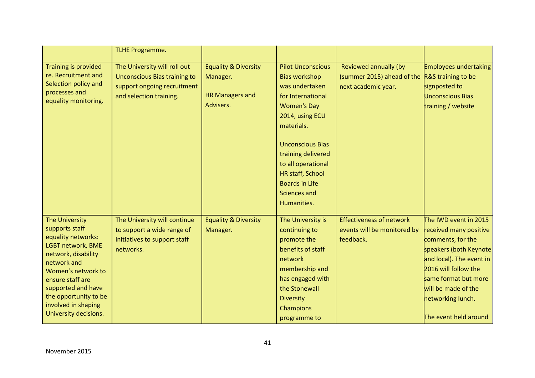|                                                                                                                                                                                                                                                                   | <b>TLHE Programme.</b>                                                                                                        |                                                                                    |                                                                                                                                                                                           |                                                                                               |                                                                                                                                                                                                                                                 |
|-------------------------------------------------------------------------------------------------------------------------------------------------------------------------------------------------------------------------------------------------------------------|-------------------------------------------------------------------------------------------------------------------------------|------------------------------------------------------------------------------------|-------------------------------------------------------------------------------------------------------------------------------------------------------------------------------------------|-----------------------------------------------------------------------------------------------|-------------------------------------------------------------------------------------------------------------------------------------------------------------------------------------------------------------------------------------------------|
| <b>Training is provided</b><br>re. Recruitment and<br>Selection policy and<br>processes and<br>equality monitoring.                                                                                                                                               | The University will roll out<br><b>Unconscious Bias training to</b><br>support ongoing recruitment<br>and selection training. | <b>Equality &amp; Diversity</b><br>Manager.<br><b>HR Managers and</b><br>Advisers. | <b>Pilot Unconscious</b><br><b>Bias workshop</b><br>was undertaken<br>for International<br><b>Women's Day</b><br>2014, using ECU<br>materials.                                            | Reviewed annually (by<br>(summer 2015) ahead of the R&S training to be<br>next academic year. | <b>Employees undertaking</b><br>signposted to<br><b>Unconscious Bias</b><br>training / website                                                                                                                                                  |
|                                                                                                                                                                                                                                                                   |                                                                                                                               |                                                                                    | <b>Unconscious Bias</b><br>training delivered<br>to all operational<br>HR staff, School<br><b>Boards in Life</b><br><b>Sciences and</b><br>Humanities.                                    |                                                                                               |                                                                                                                                                                                                                                                 |
| <b>The University</b><br>supports staff<br>equality networks:<br>LGBT network, BME<br>network, disability<br>network and<br>Women's network to<br>ensure staff are<br>supported and have<br>the opportunity to be<br>involved in shaping<br>University decisions. | The University will continue<br>to support a wide range of<br>initiatives to support staff<br>networks.                       | <b>Equality &amp; Diversity</b><br>Manager.                                        | The University is<br>continuing to<br>promote the<br>benefits of staff<br>network<br>membership and<br>has engaged with<br>the Stonewall<br><b>Diversity</b><br>Champions<br>programme to | <b>Effectiveness of network</b><br>events will be monitored by<br>feedback.                   | The IWD event in 2015<br>received many positive<br>comments, for the<br>speakers (both Keynote<br>and local). The event in<br>2016 will follow the<br>same format but more<br>will be made of the<br>networking lunch.<br>The event held around |